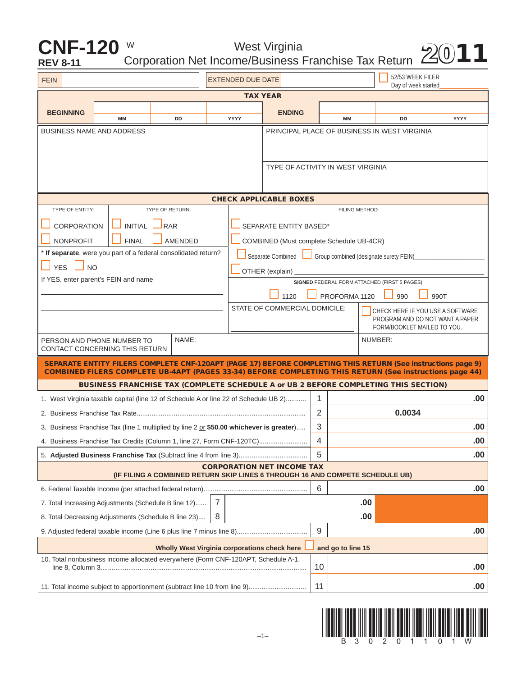# **CNF-120 W REV 8-11**

West Virginia<br>Corporation Net Income/Business Franchise Tax Return 2011

| <b>FEIN</b>                                                                        |                                                                                      |                 | <b>EXTENDED DUE DATE</b> |                                                                                              |                                                          | 52/53 WEEK FILER<br>Day of week started |                      |                                                                                                                                                                                                                         |      |
|------------------------------------------------------------------------------------|--------------------------------------------------------------------------------------|-----------------|--------------------------|----------------------------------------------------------------------------------------------|----------------------------------------------------------|-----------------------------------------|----------------------|-------------------------------------------------------------------------------------------------------------------------------------------------------------------------------------------------------------------------|------|
| <b>TAX YEAR</b>                                                                    |                                                                                      |                 |                          |                                                                                              |                                                          |                                         |                      |                                                                                                                                                                                                                         |      |
| <b>BEGINNING</b>                                                                   |                                                                                      |                 |                          |                                                                                              | <b>ENDING</b>                                            |                                         |                      |                                                                                                                                                                                                                         |      |
|                                                                                    | <b>MM</b>                                                                            | DD              |                          | YYYY                                                                                         |                                                          |                                         | <b>MM</b>            | DD                                                                                                                                                                                                                      | YYYY |
|                                                                                    | <b>BUSINESS NAME AND ADDRESS</b>                                                     |                 |                          |                                                                                              |                                                          |                                         |                      | PRINCIPAL PLACE OF BUSINESS IN WEST VIRGINIA                                                                                                                                                                            |      |
|                                                                                    |                                                                                      |                 |                          |                                                                                              |                                                          |                                         |                      |                                                                                                                                                                                                                         |      |
|                                                                                    |                                                                                      |                 |                          |                                                                                              |                                                          |                                         |                      |                                                                                                                                                                                                                         |      |
|                                                                                    |                                                                                      |                 |                          |                                                                                              | TYPE OF ACTIVITY IN WEST VIRGINIA                        |                                         |                      |                                                                                                                                                                                                                         |      |
|                                                                                    |                                                                                      |                 |                          |                                                                                              |                                                          |                                         |                      |                                                                                                                                                                                                                         |      |
|                                                                                    |                                                                                      |                 |                          |                                                                                              | <b>CHECK APPLICABLE BOXES</b>                            |                                         |                      |                                                                                                                                                                                                                         |      |
| TYPE OF ENTITY:                                                                    |                                                                                      | TYPE OF RETURN: |                          |                                                                                              |                                                          |                                         | <b>FILING METHOD</b> |                                                                                                                                                                                                                         |      |
| <b>CORPORATION</b>                                                                 | <b>INITIAL</b>                                                                       | <b>RAR</b>      |                          |                                                                                              | SEPARATE ENTITY BASED*                                   |                                         |                      |                                                                                                                                                                                                                         |      |
| <b>NONPROFIT</b>                                                                   | <b>FINAL</b>                                                                         | <b>AMENDED</b>  |                          |                                                                                              | COMBINED (Must complete Schedule UB-4CR)                 |                                         |                      |                                                                                                                                                                                                                         |      |
|                                                                                    | * If separate, were you part of a federal consolidated return?                       |                 |                          |                                                                                              | Separate Combined Group combined (designate surety FEIN) |                                         |                      |                                                                                                                                                                                                                         |      |
| <b>YES</b><br>$\Box$ NO                                                            |                                                                                      |                 |                          |                                                                                              | OTHER (explain)                                          |                                         |                      |                                                                                                                                                                                                                         |      |
|                                                                                    | If YES, enter parent's FEIN and name                                                 |                 |                          |                                                                                              |                                                          |                                         |                      | SIGNED FEDERAL FORM ATTACHED (FIRST 5 PAGES)                                                                                                                                                                            |      |
|                                                                                    |                                                                                      |                 |                          |                                                                                              | 1120                                                     | PROFORMA 1120<br>990<br>990T            |                      |                                                                                                                                                                                                                         |      |
|                                                                                    |                                                                                      |                 |                          |                                                                                              | STATE OF COMMERCIAL DOMICILE:                            |                                         |                      | CHECK HERE IF YOU USE A SOFTWARE                                                                                                                                                                                        |      |
|                                                                                    |                                                                                      |                 |                          | PROGRAM AND DO NOT WANT A PAPER<br>FORM/BOOKLET MAILED TO YOU.                               |                                                          |                                         |                      |                                                                                                                                                                                                                         |      |
|                                                                                    | PERSON AND PHONE NUMBER TO                                                           | NAME:           |                          |                                                                                              |                                                          |                                         |                      | NUMBER:                                                                                                                                                                                                                 |      |
|                                                                                    | CONTACT CONCERNING THIS RETURN                                                       |                 |                          |                                                                                              |                                                          |                                         |                      |                                                                                                                                                                                                                         |      |
|                                                                                    |                                                                                      |                 |                          |                                                                                              |                                                          |                                         |                      | SEPARATE ENTITY FILERS COMPLETE CNF-120APT (PAGE 17) BEFORE COMPLETING THIS RETURN (See instructions page 9)<br>COMBINED FILERS COMPLETE UB-4APT (PAGES 33-34) BEFORE COMPLETING THIS RETURN (See instructions page 44) |      |
|                                                                                    |                                                                                      |                 |                          |                                                                                              |                                                          |                                         |                      | BUSINESS FRANCHISE TAX (COMPLETE SCHEDULE A or UB 2 BEFORE COMPLETING THIS SECTION)                                                                                                                                     |      |
|                                                                                    | 1. West Virginia taxable capital (line 12 of Schedule A or line 22 of Schedule UB 2) |                 |                          |                                                                                              |                                                          | 1                                       |                      |                                                                                                                                                                                                                         | .00. |
|                                                                                    |                                                                                      |                 |                          |                                                                                              | 2<br>0.0034                                              |                                         |                      |                                                                                                                                                                                                                         |      |
|                                                                                    |                                                                                      |                 |                          | 3<br>3. Business Franchise Tax (line 1 multiplied by line 2 or \$50.00 whichever is greater) |                                                          |                                         |                      |                                                                                                                                                                                                                         | .00  |
|                                                                                    | 4. Business Franchise Tax Credits (Column 1, line 27, Form CNF-120TC)                |                 |                          |                                                                                              |                                                          | 4                                       |                      |                                                                                                                                                                                                                         | .00  |
|                                                                                    |                                                                                      |                 |                          |                                                                                              |                                                          | 5                                       |                      |                                                                                                                                                                                                                         | .00  |
|                                                                                    |                                                                                      |                 |                          |                                                                                              | <b>CORPORATION NET INCOME TAX</b>                        |                                         |                      |                                                                                                                                                                                                                         |      |
| (IF FILING A COMBINED RETURN SKIP LINES 6 THROUGH 16 AND COMPETE SCHEDULE UB)<br>6 |                                                                                      |                 |                          |                                                                                              | .00                                                      |                                         |                      |                                                                                                                                                                                                                         |      |
| 7<br>.00<br>7. Total Increasing Adjustments (Schedule B line 12)                   |                                                                                      |                 |                          |                                                                                              |                                                          |                                         |                      |                                                                                                                                                                                                                         |      |
| 8<br>8. Total Decreasing Adjustments (Schedule B line 23)                          |                                                                                      |                 |                          |                                                                                              |                                                          | .00                                     |                      |                                                                                                                                                                                                                         |      |
|                                                                                    |                                                                                      |                 |                          |                                                                                              | 9                                                        |                                         |                      | .00                                                                                                                                                                                                                     |      |
| and go to line 15<br>Wholly West Virginia corporations check here                  |                                                                                      |                 |                          |                                                                                              |                                                          |                                         |                      |                                                                                                                                                                                                                         |      |
|                                                                                    | 10. Total nonbusiness income allocated everywhere (Form CNF-120APT, Schedule A-1,    |                 |                          |                                                                                              |                                                          |                                         |                      |                                                                                                                                                                                                                         |      |
|                                                                                    | 10<br>.00                                                                            |                 |                          |                                                                                              |                                                          |                                         |                      |                                                                                                                                                                                                                         |      |
| 11. Total income subject to apportionment (subtract line 10 from line 9)           |                                                                                      |                 |                          |                                                                                              | 11                                                       |                                         |                      | .00.                                                                                                                                                                                                                    |      |

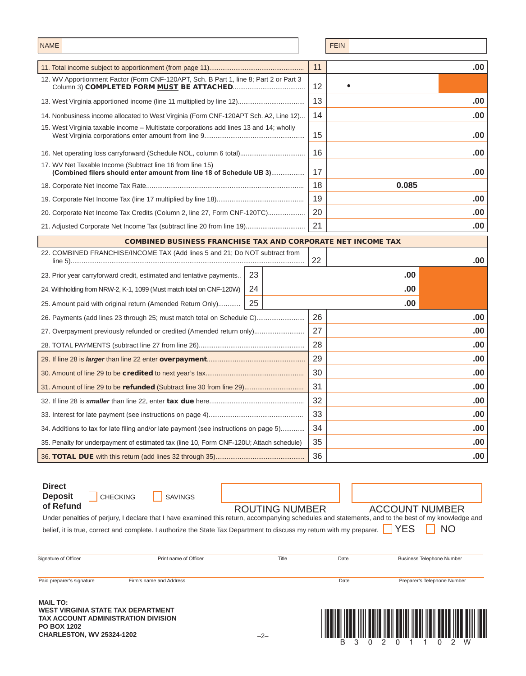٦

| <b>NAME</b>                                                                                                                                                                                                                                                                                                                                                                        |    | <b>FEIN</b>                               |
|------------------------------------------------------------------------------------------------------------------------------------------------------------------------------------------------------------------------------------------------------------------------------------------------------------------------------------------------------------------------------------|----|-------------------------------------------|
|                                                                                                                                                                                                                                                                                                                                                                                    | 11 | .00.                                      |
| 12. WV Apportionment Factor (Form CNF-120APT, Sch. B Part 1, line 8; Part 2 or Part 3                                                                                                                                                                                                                                                                                              | 12 | ٠                                         |
|                                                                                                                                                                                                                                                                                                                                                                                    | 13 | .00                                       |
| 14. Nonbusiness income allocated to West Virginia (Form CNF-120APT Sch. A2, Line 12)                                                                                                                                                                                                                                                                                               | 14 | .00                                       |
| 15. West Virginia taxable income - Multistate corporations add lines 13 and 14; wholly                                                                                                                                                                                                                                                                                             | 15 | .00                                       |
| 16. Net operating loss carryforward (Schedule NOL, column 6 total)                                                                                                                                                                                                                                                                                                                 | 16 | .00                                       |
| 17. WV Net Taxable Income (Subtract line 16 from line 15)<br>(Combined filers should enter amount from line 18 of Schedule UB 3)                                                                                                                                                                                                                                                   | 17 | .00                                       |
|                                                                                                                                                                                                                                                                                                                                                                                    | 18 | 0.085                                     |
|                                                                                                                                                                                                                                                                                                                                                                                    | 19 | .00                                       |
| 20. Corporate Net Income Tax Credits (Column 2, line 27, Form CNF-120TC)                                                                                                                                                                                                                                                                                                           | 20 | .00                                       |
| 21. Adjusted Corporate Net Income Tax (subtract line 20 from line 19)                                                                                                                                                                                                                                                                                                              | 21 | .00                                       |
| <b>COMBINED BUSINESS FRANCHISE TAX AND CORPORATE NET INCOME TAX</b>                                                                                                                                                                                                                                                                                                                |    |                                           |
| 22. COMBINED FRANCHISE/INCOME TAX (Add lines 5 and 21; Do NOT subtract from                                                                                                                                                                                                                                                                                                        | 22 | .00                                       |
| 23<br>23. Prior year carryforward credit, estimated and tentative payments                                                                                                                                                                                                                                                                                                         |    | .00                                       |
| 24<br>24. Withholding from NRW-2, K-1, 1099 (Must match total on CNF-120W)                                                                                                                                                                                                                                                                                                         |    | .00                                       |
| 25<br>25. Amount paid with original return (Amended Return Only)                                                                                                                                                                                                                                                                                                                   |    | .00                                       |
| 26. Payments (add lines 23 through 25; must match total on Schedule C)                                                                                                                                                                                                                                                                                                             | 26 | .00                                       |
| 27. Overpayment previously refunded or credited (Amended return only)                                                                                                                                                                                                                                                                                                              | 27 | .00                                       |
|                                                                                                                                                                                                                                                                                                                                                                                    | 28 | .00                                       |
|                                                                                                                                                                                                                                                                                                                                                                                    | 29 | .00                                       |
|                                                                                                                                                                                                                                                                                                                                                                                    | 30 | .00                                       |
| 31. Amount of line 29 to be refunded (Subtract line 30 from line 29)                                                                                                                                                                                                                                                                                                               | 31 | .00                                       |
|                                                                                                                                                                                                                                                                                                                                                                                    | 32 | .00                                       |
|                                                                                                                                                                                                                                                                                                                                                                                    | 33 | .00                                       |
| 34. Additions to tax for late filing and/or late payment (see instructions on page 5)                                                                                                                                                                                                                                                                                              | 34 | .00                                       |
| 35. Penalty for underpayment of estimated tax (line 10, Form CNF-120U; Attach schedule)                                                                                                                                                                                                                                                                                            | 35 | .00                                       |
|                                                                                                                                                                                                                                                                                                                                                                                    | 36 | .00                                       |
| <b>Direct</b><br><b>Deposit</b><br>CHECKING<br><b>SAVINGS</b><br>of Refund<br><b>ROUTING NUMBER</b><br>Under penalties of perjury, I declare that I have examined this return, accompanying schedules and statements, and to the best of my knowledge and<br>belief, it is true, correct and complete. I authorize the State Tax Department to discuss my return with my preparer. |    | <b>ACCOUNT NUMBER</b><br><b>YES</b><br>NO |
| Signature of Officer<br>Print name of Officer<br>Title                                                                                                                                                                                                                                                                                                                             |    | Date<br><b>Business Telephone Number</b>  |

|  |  | Paid preparer's signature |
|--|--|---------------------------|
|--|--|---------------------------|

Pate Preparer's Telephone Number (Preparer's Telephone Number and Address date Preparer's Telephone Number and Address date Preparer's Telephone Number (Preparer's Telephone Number and Address date Preparer's Telephone Num

**MAiL TO: WEST ViRgiNiA STATE TAx DEPARTMENT TAx ACCOUNT ADMiNiSTRATiON DiViSiON PO bOx 1202 CHARLESTON, WV 25324-1202**

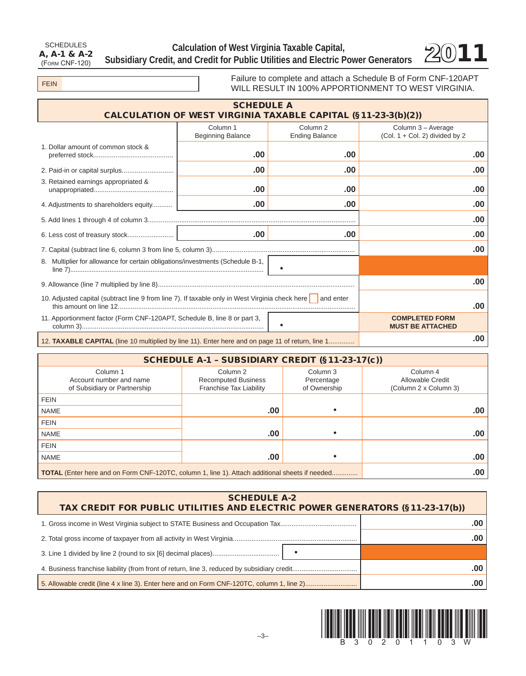#### **SCHEDULES** Calculation of West Virginia Taxable Capital,<br>Subsidiary Credit, and Credit for Public Utilities and Electric Power Generators  $2011$ A, A-1 & A-2 (FORM CNF-120)

**FEIN** 

Failure to complete and attach a Schedule B of Form CNF-120APT WILL RESULT IN 100% APPORTIONMENT TO WEST VIRGINIA.

### **SCHEDULE A CALCULATION OF WEST VIRGINIA TAXABLE CAPITAL (§11-23-3(b)(2))**

|                                                                                                           | Column 1<br><b>Beginning Balance</b>             | Column <sub>2</sub><br><b>Ending Balance</b> | Column 3 - Average<br>$(Col. 1 + Col. 2)$ divided by 2 |
|-----------------------------------------------------------------------------------------------------------|--------------------------------------------------|----------------------------------------------|--------------------------------------------------------|
| 1. Dollar amount of common stock &                                                                        | .00                                              | .00                                          | .00                                                    |
|                                                                                                           | .00                                              | .00                                          | .00                                                    |
| 3. Retained earnings appropriated &                                                                       | .00                                              | .00                                          | .00                                                    |
| 4. Adjustments to shareholders equity                                                                     | .00                                              | .00                                          | .00                                                    |
|                                                                                                           |                                                  |                                              | .00                                                    |
|                                                                                                           | .00                                              | .00                                          | .00                                                    |
|                                                                                                           |                                                  |                                              | .00                                                    |
| 8. Multiplier for allowance for certain obligations/investments (Schedule B-1,                            |                                                  |                                              |                                                        |
|                                                                                                           |                                                  |                                              | .00                                                    |
| 10. Adjusted capital (subtract line 9 from line 7). If taxable only in West Virginia check here and enter | .00.                                             |                                              |                                                        |
| 11. Apportionment factor (Form CNF-120APT, Schedule B, line 8 or part 3,                                  | <b>COMPLETED FORM</b><br><b>MUST BE ATTACHED</b> |                                              |                                                        |
| 12. <b>TAXABLE CAPITAL</b> (line 10 multiplied by line 11). Enter here and on page 11 of return, line 1   | .00.                                             |                                              |                                                        |

| SCHEDULE A-1 - SUBSIDIARY CREDIT (§11-23-17(c))                                                              |                                                                              |                                        |                                                              |  |  |  |  |  |
|--------------------------------------------------------------------------------------------------------------|------------------------------------------------------------------------------|----------------------------------------|--------------------------------------------------------------|--|--|--|--|--|
| Column 1<br>Account number and name<br>of Subsidiary or Partnership                                          | Column <sub>2</sub><br><b>Recomputed Business</b><br>Franchise Tax Liability | Column 3<br>Percentage<br>of Ownership | Column 4<br><b>Allowable Credit</b><br>(Column 2 x Column 3) |  |  |  |  |  |
| <b>FEIN</b>                                                                                                  |                                                                              |                                        |                                                              |  |  |  |  |  |
| <b>NAME</b>                                                                                                  | .00                                                                          |                                        | .00                                                          |  |  |  |  |  |
| <b>FEIN</b>                                                                                                  |                                                                              |                                        |                                                              |  |  |  |  |  |
| <b>NAME</b>                                                                                                  | .00                                                                          |                                        | .00                                                          |  |  |  |  |  |
| <b>FEIN</b>                                                                                                  |                                                                              |                                        |                                                              |  |  |  |  |  |
| <b>NAME</b>                                                                                                  | .00                                                                          |                                        | .00                                                          |  |  |  |  |  |
| .00<br><b>TOTAL</b> (Enter here and on Form CNF-120TC, column 1, line 1). Attach additional sheets if needed |                                                                              |                                        |                                                              |  |  |  |  |  |

| <b>SCHEDULE A-2</b><br>TAX CREDIT FOR PUBLIC UTILITIES AND ELECTRIC POWER GENERATORS (§11-23-17(b)) |  |  |  |  |  |
|-----------------------------------------------------------------------------------------------------|--|--|--|--|--|
|                                                                                                     |  |  |  |  |  |
|                                                                                                     |  |  |  |  |  |
|                                                                                                     |  |  |  |  |  |
|                                                                                                     |  |  |  |  |  |
|                                                                                                     |  |  |  |  |  |

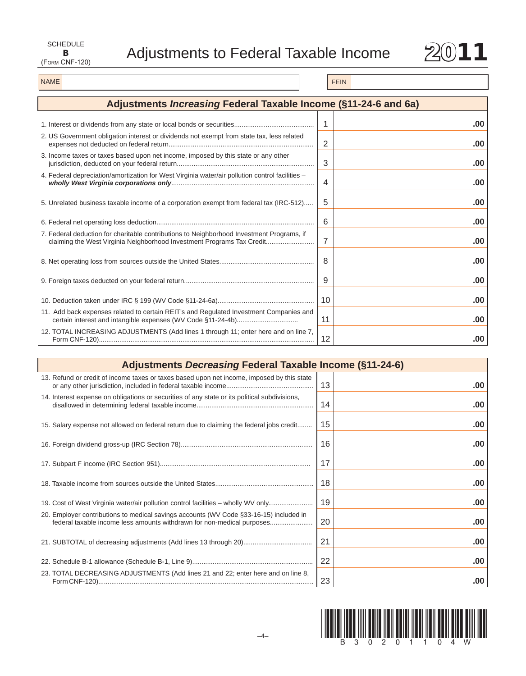| SCHEDULE       |  |  |  |  |  |
|----------------|--|--|--|--|--|
| в              |  |  |  |  |  |
| (FORM CNF-120) |  |  |  |  |  |

#### NAME THE RESERVE THAT IS A RESERVE TO A RESERVE THAT IS A RESERVE TO A RESERVE THAT IS A RESERVE TO A RESERVE THAT IS A RESERVE TO A RESERVE THAT IS A RESERVE TO A RESERVE THAT IS A RESERVE TO A RESERVE THAT IS A RESERVE T

| Adjustments <i>Increasing</i> Federal Taxable Income (§11-24-6 and 6a)                                                                                              |    |      |  |  |  |
|---------------------------------------------------------------------------------------------------------------------------------------------------------------------|----|------|--|--|--|
|                                                                                                                                                                     | 1  | .00  |  |  |  |
| 2. US Government obligation interest or dividends not exempt from state tax, less related                                                                           | 2  | .00  |  |  |  |
| 3. Income taxes or taxes based upon net income, imposed by this state or any other                                                                                  | 3  | .00  |  |  |  |
| 4. Federal depreciation/amortization for West Virginia water/air pollution control facilities -                                                                     | 4  | .00  |  |  |  |
| 5. Unrelated business taxable income of a corporation exempt from federal tax (IRC-512)                                                                             | 5  | .00  |  |  |  |
|                                                                                                                                                                     | 6  | .00  |  |  |  |
| 7. Federal deduction for charitable contributions to Neighborhood Investment Programs, if<br>claiming the West Virginia Neighborhood Investment Programs Tax Credit | 7  | .00  |  |  |  |
|                                                                                                                                                                     | 8  | .00  |  |  |  |
|                                                                                                                                                                     | 9  | .00  |  |  |  |
|                                                                                                                                                                     | 10 | .00  |  |  |  |
| 11. Add back expenses related to certain REIT's and Regulated Investment Companies and                                                                              | 11 | .00. |  |  |  |
| 12. TOTAL INCREASING ADJUSTMENTS (Add lines 1 through 11; enter here and on line 7,                                                                                 | 12 | .00  |  |  |  |

| <b>Adjustments Decreasing Federal Taxable Income (§11-24-6)</b>                                                                                                  |    |      |  |  |  |
|------------------------------------------------------------------------------------------------------------------------------------------------------------------|----|------|--|--|--|
| 13. Refund or credit of income taxes or taxes based upon net income, imposed by this state                                                                       | 13 | .00  |  |  |  |
| 14. Interest expense on obligations or securities of any state or its political subdivisions,                                                                    | 14 | .00. |  |  |  |
| 15. Salary expense not allowed on federal return due to claiming the federal jobs credit                                                                         | 15 | .00  |  |  |  |
|                                                                                                                                                                  | 16 | .00  |  |  |  |
|                                                                                                                                                                  | 17 | .00  |  |  |  |
|                                                                                                                                                                  | 18 | .00. |  |  |  |
| 19. Cost of West Virginia water/air pollution control facilities - wholly WV only                                                                                | 19 | .00  |  |  |  |
| 20. Employer contributions to medical savings accounts (WV Code §33-16-15) included in<br>federal taxable income less amounts withdrawn for non-medical purposes | 20 | .00  |  |  |  |
|                                                                                                                                                                  | 21 | .00  |  |  |  |
|                                                                                                                                                                  | 22 | .00  |  |  |  |
| 23. TOTAL DECREASING ADJUSTMENTS (Add lines 21 and 22; enter here and on line 8,                                                                                 | 23 | .00  |  |  |  |

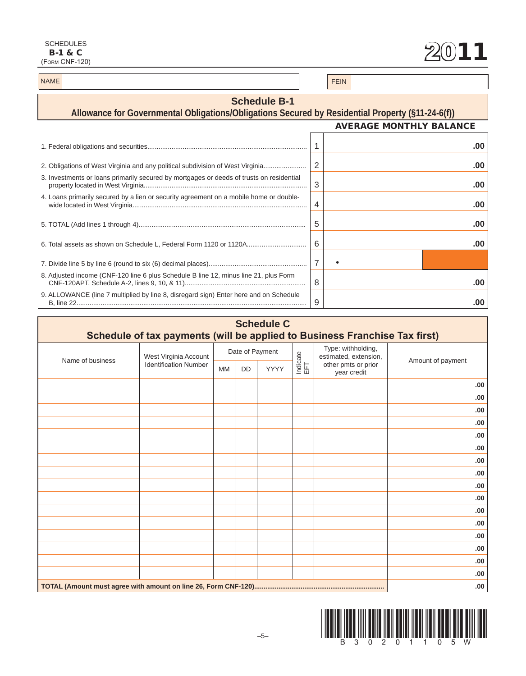#### NAME FEIN AND RESERVE THE SERVE THAT IS NOT THE SERVE THAT IS NOT THE SERVE THAT IS NOT THE SERVE THAT IS NOT THE SERVE THAT IS NOT THE SERVE THAT IS NOT THE SERVE THAT IS NOT THE SERVE THAT IS NOT THE SERVE THAT IS NOT TH

# **Schedule b-1**

**Allowance for Governmental Obligations/Obligations Secured by Residential Property (§11-24-6(f))**

|                                                                                          |   | <b>AVERAGE MONTHLY BALANCE</b> |     |
|------------------------------------------------------------------------------------------|---|--------------------------------|-----|
|                                                                                          |   |                                | .00 |
| 2. Obligations of West Virginia and any political subdivision of West Virginia           | 2 |                                | .00 |
| 3. Investments or loans primarily secured by mortgages or deeds of trusts on residential | 3 |                                | .00 |
| 4. Loans primarily secured by a lien or security agreement on a mobile home or double-   | 4 |                                | .00 |
|                                                                                          | 5 |                                | .00 |
| 6. Total assets as shown on Schedule L, Federal Form 1120 or 1120A                       | 6 |                                | .00 |
|                                                                                          | 7 |                                |     |
| 8. Adjusted income (CNF-120 line 6 plus Schedule B line 12, minus line 21, plus Form     | 8 |                                | .00 |
| 9. ALLOWANCE (line 7 multiplied by line 8, disregard sign) Enter here and on Schedule    | 9 |                                | .00 |

| <b>Schedule C</b>                                                          |                              |                 |           |             |                 |                                             |                   |  |  |
|----------------------------------------------------------------------------|------------------------------|-----------------|-----------|-------------|-----------------|---------------------------------------------|-------------------|--|--|
| Schedule of tax payments (will be applied to Business Franchise Tax first) |                              |                 |           |             |                 |                                             |                   |  |  |
| Name of business                                                           | West Virginia Account        | Date of Payment |           |             |                 | Type: withholding,<br>estimated, extension, | Amount of payment |  |  |
|                                                                            | <b>Identification Number</b> | <b>MM</b>       | <b>DD</b> | <b>YYYY</b> | Indicate<br>EFT | other pmts or prior<br>year credit          |                   |  |  |
|                                                                            |                              |                 |           |             |                 |                                             | .00               |  |  |
|                                                                            |                              |                 |           |             |                 |                                             | .00               |  |  |
|                                                                            |                              |                 |           |             |                 |                                             | .00               |  |  |
|                                                                            |                              |                 |           |             |                 |                                             | .00               |  |  |
|                                                                            |                              |                 |           |             |                 |                                             | .00               |  |  |
|                                                                            |                              |                 |           |             |                 |                                             | .00               |  |  |
|                                                                            |                              |                 |           |             |                 |                                             | .00               |  |  |
|                                                                            |                              |                 |           |             |                 |                                             | .00               |  |  |
|                                                                            |                              |                 |           |             |                 |                                             | .00               |  |  |
|                                                                            |                              |                 |           |             |                 |                                             | .00               |  |  |
|                                                                            |                              |                 |           |             |                 |                                             | .00               |  |  |
|                                                                            |                              |                 |           |             |                 |                                             | .00               |  |  |
|                                                                            |                              |                 |           |             |                 |                                             | .00               |  |  |
|                                                                            |                              |                 |           |             |                 |                                             | .00               |  |  |
|                                                                            |                              |                 |           |             |                 |                                             | .00               |  |  |
|                                                                            |                              |                 |           |             |                 |                                             | .00               |  |  |
|                                                                            | .00                          |                 |           |             |                 |                                             |                   |  |  |

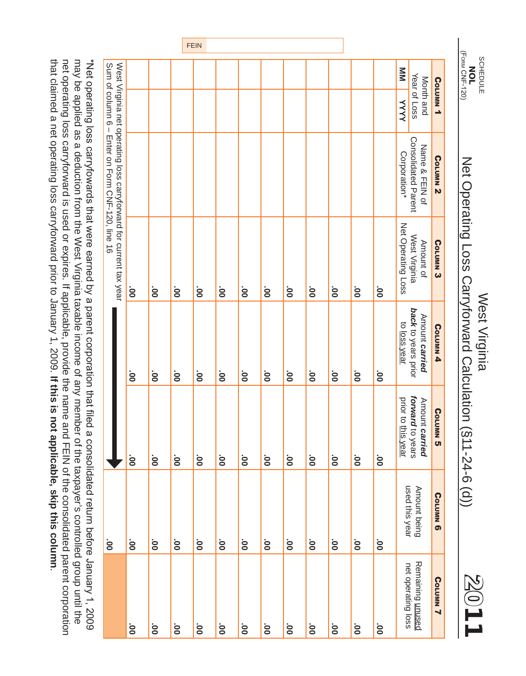| (Form CNF-120)<br><b>SCHEDULE</b><br>NOL<br>D                       |
|---------------------------------------------------------------------|
| Net Operating Loss Carrytorward Calculation (<br>West Virginia<br>S |
|                                                                     |

|                         | $\overline{00}$ |                                    |                                       | West Virginia net operating loss carryforward for current tax year | Sommon of column o - Futer on Horm CNF-120, i.i.e 16 |                           |                              |
|-------------------------|-----------------|------------------------------------|---------------------------------------|--------------------------------------------------------------------|------------------------------------------------------|---------------------------|------------------------------|
| $\overline{00}$         | $\overline{00}$ | 00                                 | $\overline{0}$                        | $\overline{0}$                                                     |                                                      |                           |                              |
| $\overline{0}0$         | $\overline{0}$  | $\overline{0}$                     | $\overline{5}$                        | $\overline{8}$                                                     |                                                      |                           |                              |
| $\overline{8}$          | $\overline{0}0$ | $\overline{0}$                     | $\overline{0}$                        | $\overline{0}$                                                     |                                                      |                           |                              |
| $\overline{8}$          | $\overline{6}$  | $\overline{0}$                     | $\overline{0}$                        | $\overline{0}$                                                     |                                                      |                           |                              |
| $\overline{0}$          | $\overline{0}$  | $\overline{0}$                     | $\overline{0}$                        | $\ddot{\mathbf{S}}$                                                |                                                      |                           |                              |
| $\overline{0}$          | $\overline{0}$  | 00                                 | $\overline{0}$                        | $\overline{0}$                                                     |                                                      |                           |                              |
| $\overline{8}$          | $\overline{0}$  | $\overline{0}$                     | $\overline{0}$                        | $\overline{8}$                                                     |                                                      |                           |                              |
| $\overline{00}$         | 00              | $\overline{0}0$                    | $\overline{0}$                        | $\overline{0}$                                                     |                                                      |                           |                              |
| $\overline{0}$          | $\overline{6}$  | $\overline{0}$                     | $\overline{0}$                        | $\overline{0}$                                                     |                                                      |                           |                              |
| $\overline{00}$         | $\overline{00}$ | $\overline{00}$                    | $\overline{00}$                       | $\overline{0}$                                                     |                                                      |                           |                              |
| $\overline{0}0$         | $\overline{6}$  | $\overline{0}0$                    | $\overline{0}$                        | $\overline{0}$                                                     |                                                      |                           |                              |
| 00                      | $\overline{0}0$ | 00                                 | $\overline{0}$                        | $\overline{0}$                                                     |                                                      |                           |                              |
| net operating loss      | used this year  | prior to this year                 | to loss year                          | Net Operating Loss                                                 | Corporation*                                         | <b>YYYY</b>               | $\mathbf{N}$<br>$\mathbf{N}$ |
| Remaining <u>unused</u> | Amount being    | forward to years<br>Amount carried | back to years prior<br>Amount carried | West Virginia<br>Amount of                                         | Consolidated Parent<br>Name & FEIN of                | Year of Loss<br>Month and |                              |
| Corumn <sub>7</sub>     | <b>Corumn 6</b> | <b>Corumn 5</b>                    | Corumn 4                              | Corumn <sub>3</sub>                                                | Corumn <sub>2</sub>                                  | Corumn <sub>1</sub>       |                              |
|                         |                 |                                    |                                       |                                                                    |                                                      |                           |                              |

that claimed a net operating loss carryforward prior to January 1, 2009. If this is not applicable, skip this column. net operating loss carryforward is used or expires. If applicable, provide the name and FEIN of the consolidated parent corporation may be applied as a deduction from the West Virginia taxable income of any member of the taxpayer's controlled group until the \*Net operating loss carryfowards that were earned by a parent corporation that filed a consolidated return before January 1, 2009 that claimed a net operating loss carryforward prior to January 1, 2009. net operating loss carryforward is used or expires. If applicable, provide the name and FEIN of the consolidated parent corpora may be applied as a deduction from the West Virginia taxable income of any member of the taxpayer's controlled group until the \*Net operating loss carryfowards that were earned by a parent corporation that filed a consolidated return before January 1, 2009 **if this is not applicable, skip this column**

**FEIN** 

**NOL<br>
(Form CNF-120)** SCHEDULE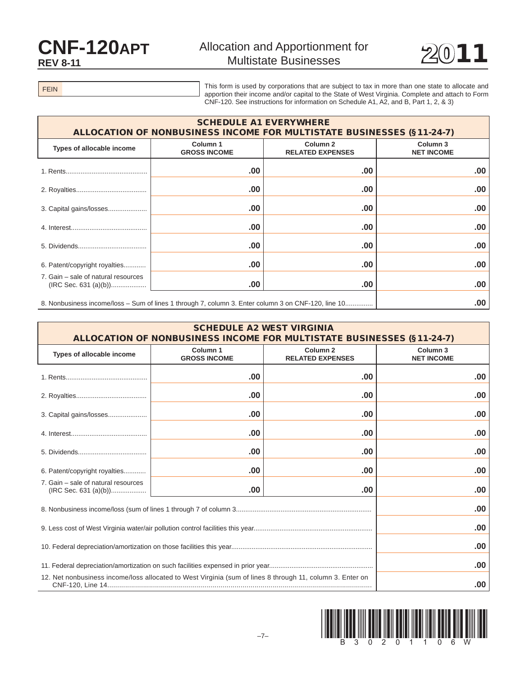# CNF-120APT **REV 8-11**



FEIN

This form is used by corporations that are subject to tax in more than one state to allocate and apportion their income and/or capital to the State of West Virginia. Complete and attach to Form CNF-120. See instructions for information on Schedule A1, A2, and B, Part 1, 2, & 3)

| <b>SCHEDULE A1 EVERYWHERE</b><br>ALLOCATION OF NONBUSINESS INCOME FOR MULTISTATE BUSINESSES (§11-24-7) |                                                                                                     |     |                  |  |  |  |  |  |
|--------------------------------------------------------------------------------------------------------|-----------------------------------------------------------------------------------------------------|-----|------------------|--|--|--|--|--|
| Types of allocable income                                                                              | Column 1<br>Column <sub>2</sub><br><b>GROSS INCOME</b><br><b>RELATED EXPENSES</b>                   |     |                  |  |  |  |  |  |
|                                                                                                        | .00                                                                                                 | .00 | .00              |  |  |  |  |  |
|                                                                                                        | .00                                                                                                 | .00 | .00 <sub>1</sub> |  |  |  |  |  |
|                                                                                                        | .00.                                                                                                | .00 | .00              |  |  |  |  |  |
|                                                                                                        | .00                                                                                                 | .00 | .00              |  |  |  |  |  |
|                                                                                                        | .00                                                                                                 | .00 | .00              |  |  |  |  |  |
| 6. Patent/copyright royalties                                                                          | .00                                                                                                 | .00 | .00              |  |  |  |  |  |
| 7. Gain – sale of natural resources                                                                    | .00                                                                                                 | .00 | .00              |  |  |  |  |  |
|                                                                                                        | 8. Nonbusiness income/loss - Sum of lines 1 through 7, column 3. Enter column 3 on CNF-120, line 10 |     | .00.             |  |  |  |  |  |

| <b>SCHEDULE A2 WEST VIRGINIA</b><br>ALLOCATION OF NONBUSINESS INCOME FOR MULTISTATE BUSINESSES (§11-24-7) |                                                                                                           |                                                |                                          |  |  |  |  |
|-----------------------------------------------------------------------------------------------------------|-----------------------------------------------------------------------------------------------------------|------------------------------------------------|------------------------------------------|--|--|--|--|
| Types of allocable income                                                                                 | Column <sub>1</sub><br><b>GROSS INCOME</b>                                                                | Column <sub>2</sub><br><b>RELATED EXPENSES</b> | Column <sub>3</sub><br><b>NET INCOME</b> |  |  |  |  |
|                                                                                                           | .00                                                                                                       | .00                                            | .00                                      |  |  |  |  |
|                                                                                                           | .00                                                                                                       | .00                                            | .00                                      |  |  |  |  |
| 3. Capital gains/losses                                                                                   | .00                                                                                                       | .00                                            | .00                                      |  |  |  |  |
|                                                                                                           | .00                                                                                                       | .00                                            | .00                                      |  |  |  |  |
|                                                                                                           | .00                                                                                                       | .00                                            | .00                                      |  |  |  |  |
| 6. Patent/copyright royalties                                                                             | .00                                                                                                       | .00                                            | .00                                      |  |  |  |  |
| 7. Gain - sale of natural resources                                                                       | .00                                                                                                       | .00                                            | .00                                      |  |  |  |  |
|                                                                                                           |                                                                                                           |                                                | .00                                      |  |  |  |  |
|                                                                                                           |                                                                                                           |                                                | .00                                      |  |  |  |  |
|                                                                                                           |                                                                                                           |                                                | .00                                      |  |  |  |  |
|                                                                                                           |                                                                                                           |                                                | .00                                      |  |  |  |  |
|                                                                                                           | 12. Net nonbusiness income/loss allocated to West Virginia (sum of lines 8 through 11, column 3. Enter on |                                                | .00                                      |  |  |  |  |

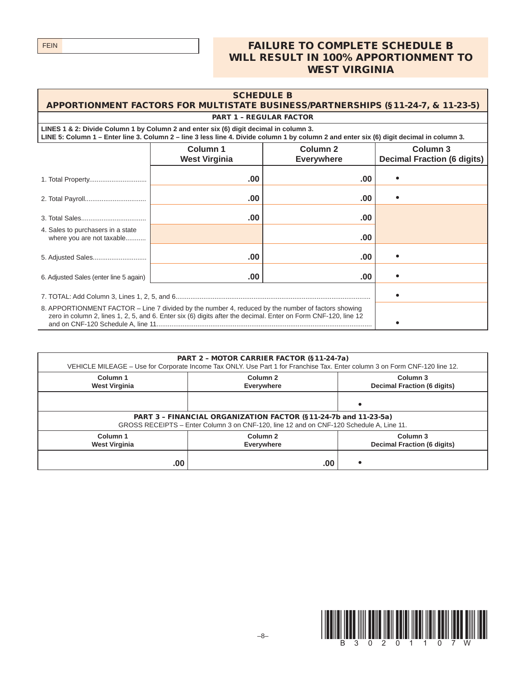FAILURE TO COMPLETE SCHEDULE B WILL RESULT IN 100% APPORTIONMENT TO **WEST VIRGINIA** 

| <b>SCHEDULE B</b><br>APPORTIONMENT FACTORS FOR MULTISTATE BUSINESS/PARTNERSHIPS (§11-24-7, & 11-23-5)                                                                                                                             |                                         |                                      |                                                       |  |  |  |  |
|-----------------------------------------------------------------------------------------------------------------------------------------------------------------------------------------------------------------------------------|-----------------------------------------|--------------------------------------|-------------------------------------------------------|--|--|--|--|
| <b>PART 1 - REGULAR FACTOR</b>                                                                                                                                                                                                    |                                         |                                      |                                                       |  |  |  |  |
| LINES 1 & 2: Divide Column 1 by Column 2 and enter six (6) digit decimal in column 3.<br>LINE 5: Column 1 - Enter line 3. Column 2 - line 3 less line 4. Divide column 1 by column 2 and enter six (6) digit decimal in column 3. |                                         |                                      |                                                       |  |  |  |  |
|                                                                                                                                                                                                                                   | <b>Column 1</b><br><b>West Virginia</b> | <b>Column 2</b><br><b>Everywhere</b> | <b>Column 3</b><br><b>Decimal Fraction (6 digits)</b> |  |  |  |  |
|                                                                                                                                                                                                                                   | .00.                                    | .00                                  |                                                       |  |  |  |  |
|                                                                                                                                                                                                                                   | .00                                     | .00.                                 |                                                       |  |  |  |  |
|                                                                                                                                                                                                                                   | .00.                                    | .00                                  |                                                       |  |  |  |  |
| 4. Sales to purchasers in a state<br>where you are not taxable                                                                                                                                                                    |                                         | .00                                  |                                                       |  |  |  |  |
| 5. Adjusted Sales                                                                                                                                                                                                                 | .00                                     | .00                                  |                                                       |  |  |  |  |
| 6. Adjusted Sales (enter line 5 again)                                                                                                                                                                                            | .00                                     | .00                                  |                                                       |  |  |  |  |
|                                                                                                                                                                                                                                   |                                         |                                      |                                                       |  |  |  |  |
| 8. APPORTIONMENT FACTOR - Line 7 divided by the number 4, reduced by the number of factors showing<br>zero in column 2, lines 1, 2, 5, and 6. Enter six (6) digits after the decimal. Enter on Form CNF-120, line 12              |                                         |                                      |                                                       |  |  |  |  |

| PART 2 - MOTOR CARRIER FACTOR (§11-24-7a)<br>VEHICLE MILEAGE – Use for Corporate Income Tax ONLY. Use Part 1 for Franchise Tax. Enter column 3 on Form CNF-120 line 12. |                                          |                                                |  |  |  |  |
|-------------------------------------------------------------------------------------------------------------------------------------------------------------------------|------------------------------------------|------------------------------------------------|--|--|--|--|
| Column 1<br><b>West Virginia</b>                                                                                                                                        | Column <sub>2</sub><br><b>Everywhere</b> | Column 3<br><b>Decimal Fraction (6 digits)</b> |  |  |  |  |
|                                                                                                                                                                         |                                          |                                                |  |  |  |  |
| PART 3 - FINANCIAL ORGANIZATION FACTOR (§11-24-7b and 11-23-5a)<br>GROSS RECEIPTS - Enter Column 3 on CNF-120, line 12 and on CNF-120 Schedule A, Line 11.              |                                          |                                                |  |  |  |  |
| Column 1<br><b>West Virginia</b>                                                                                                                                        | Column <sub>2</sub><br><b>Everywhere</b> | Column 3<br><b>Decimal Fraction (6 digits)</b> |  |  |  |  |
| .00                                                                                                                                                                     | .00                                      |                                                |  |  |  |  |



–8–

FEIN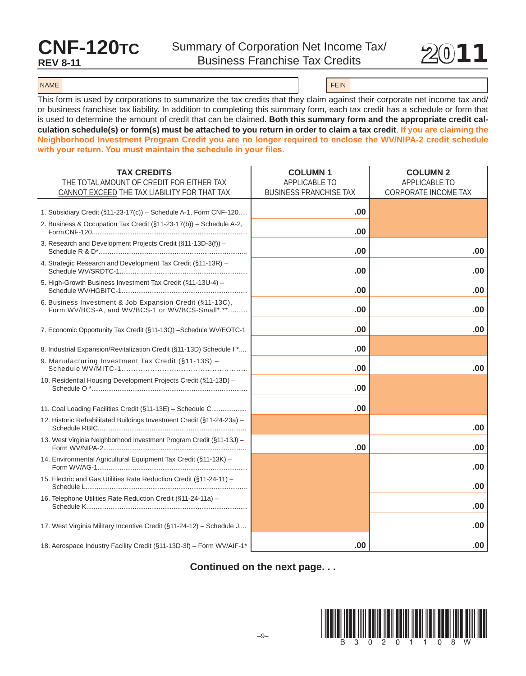# **CNF-120TC**<br>REV 8-11



### NAME FEIN AND THE EXPLORER OF THE EXPLORER THAT IS A REPORT OF THE EXPLORER THAT IS A REPORT OF THE EXPLORER THAT IS A REPORT OF THE EXPLORER THAT IS A REPORT OF THE EXPLORER THAT IS A REPORT OF THE EXPLORER THAT IS A REPO

This form is used by corporations to summarize the tax credits that they claim against their corporate net income tax and/ or business franchise tax liability. In addition to completing this summary form, each tax credit has a schedule or form that is used to determine the amount of credit that can be claimed. Both this summary form and the appropriate credit cal**culation schedule(s) or form(s) must be attached to you return in order to claim a tax credit**. **if you are claiming the Neighborhood investment Program Credit you are no longer required to enclose the WV/NiPA-2 credit schedule with your return. You must maintain the schedule in your files.**

| <b>TAX CREDITS</b>                                                                                          | <b>COLUMN1</b>                | <b>COLUMN 2</b>             |
|-------------------------------------------------------------------------------------------------------------|-------------------------------|-----------------------------|
| THE TOTAL AMOUNT OF CREDIT FOR EITHER TAX                                                                   | <b>APPLICABLE TO</b>          | APPLICABLE TO               |
| CANNOT EXCEED THE TAX LIABILITY FOR THAT TAX                                                                | <b>BUSINESS FRANCHISE TAX</b> | <b>CORPORATE INCOME TAX</b> |
|                                                                                                             |                               |                             |
| 1. Subsidiary Credit $(\S11-23-17(c))$ – Schedule A-1, Form CNF-120                                         | .00                           |                             |
| 2. Business & Occupation Tax Credit (§11-23-17(b)) – Schedule A-2,                                          | .00                           |                             |
| 3. Research and Development Projects Credit (§11-13D-3(f)) -                                                | .00                           | .00                         |
| 4. Strategic Research and Development Tax Credit (§11-13R) -                                                | .00                           | .00                         |
| 5. High-Growth Business Investment Tax Credit (§11-13U-4) -                                                 | .00                           | .00                         |
| 6. Business Investment & Job Expansion Credit (§11-13C),<br>Form WV/BCS-A, and WV/BCS-1 or WV/BCS-Small*,** | .00                           | .00                         |
| 7. Economic Opportunity Tax Credit (§11-13Q) - Schedule WV/EOTC-1                                           | .00                           | .00                         |
|                                                                                                             |                               |                             |
| 8. Industrial Expansion/Revitalization Credit (§11-13D) Schedule I*                                         | .00                           |                             |
| 9. Manufacturing Investment Tax Credit (§11-13S) -                                                          | .00                           | .00                         |
| 10. Residential Housing Development Projects Credit (§11-13D) -                                             | .00                           |                             |
|                                                                                                             |                               |                             |
| 11. Coal Loading Facilities Credit (§11-13E) - Schedule C                                                   | .00                           |                             |
| 12. Historic Rehabilitated Buildings Investment Credit (§11-24-23a) -                                       |                               | .00                         |
| 13. West Virginia Neighborhood Investment Program Credit (§11-13J) -                                        | .00                           | .00                         |
| 14. Environmental Agricultural Equipment Tax Credit (§11-13K) -                                             |                               | .00                         |
| 15. Electric and Gas Utilities Rate Reduction Credit (§11-24-11) -                                          |                               | .00                         |
| 16. Telephone Utilities Rate Reduction Credit (§11-24-11a) -                                                |                               | .00                         |
|                                                                                                             |                               | .00                         |
| 17. West Virginia Military Incentive Credit (§11-24-12) - Schedule J                                        |                               |                             |
| 18. Aerospace Industry Facility Credit (§11-13D-3f) - Form WV/AIF-1*                                        | .00                           | .00                         |

# **Continued on the next page. . .**

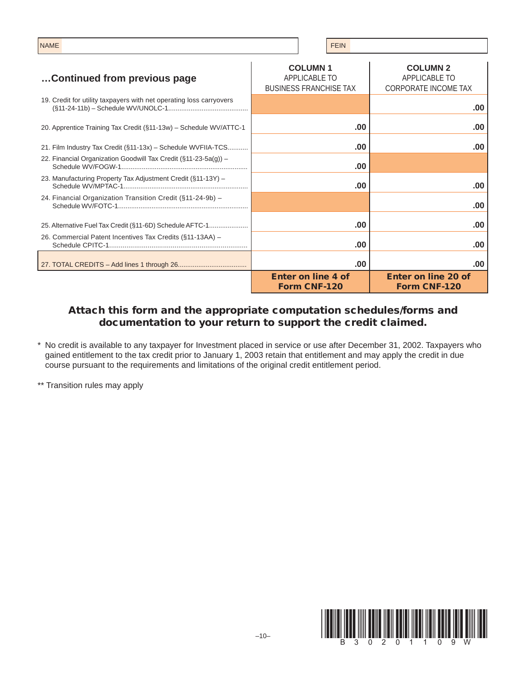| <b>NAME</b>                                                         | <b>FEIN</b>                                                             |                                                          |
|---------------------------------------------------------------------|-------------------------------------------------------------------------|----------------------------------------------------------|
| Continued from previous page                                        | <b>COLUMN1</b><br><b>APPLICABLE TO</b><br><b>BUSINESS FRANCHISE TAX</b> | <b>COLUMN 2</b><br>APPLICABLE TO<br>CORPORATE INCOME TAX |
| 19. Credit for utility taxpayers with net operating loss carryovers |                                                                         | .00                                                      |
| 20. Apprentice Training Tax Credit (§11-13w) - Schedule WV/ATTC-1   | .00                                                                     | .00                                                      |
| 21. Film Industry Tax Credit (§11-13x) - Schedule WVFIIA-TCS        | .00                                                                     | .00                                                      |
| 22. Financial Organization Goodwill Tax Credit (§11-23-5a(g)) -     | .00                                                                     |                                                          |
| 23. Manufacturing Property Tax Adjustment Credit (§11-13Y) -        | .00                                                                     | .00                                                      |
| 24. Financial Organization Transition Credit (§11-24-9b) -          |                                                                         | .00                                                      |
| 25. Alternative Fuel Tax Credit (§11-6D) Schedule AFTC-1            | .00                                                                     | .00                                                      |
| 26. Commercial Patent Incentives Tax Credits (§11-13AA) -           | .00                                                                     | .00                                                      |
|                                                                     | .00                                                                     | .00                                                      |
|                                                                     | <b>Enter on line 4 of</b><br>Form CNF-120                               | <b>Enter on line 20 of</b><br><b>Form CNF-120</b>        |

# attach this form and the appropriate computation schedules/forms and documentation to your return to support the credit claimed.

\* No credit is available to any taxpayer for Investment placed in service or use after December 31, 2002. Taxpayers who gained entitlement to the tax credit prior to January 1, 2003 retain that entitlement and may apply the credit in due course pursuant to the requirements and limitations of the original credit entitlement period.

\*\* Transition rules may apply

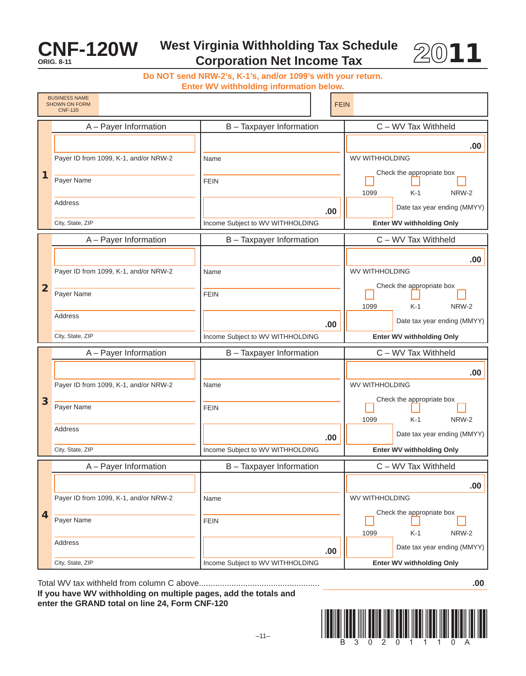

# **West Virginia Withholding Tax Schedule** Virginia Withholding Tax Schedule<br>Corporation Net Income Tax



## **Do NOT send NRW-2's, K-1's, and/or 1099's with your return. Enter WV withholding information below.**

|                         | <b>BUSINESS NAME</b><br><b>SHOWN ON FORM</b><br><b>CNF-120</b> |                                         | <b>FEIN</b>                                         |  |  |
|-------------------------|----------------------------------------------------------------|-----------------------------------------|-----------------------------------------------------|--|--|
|                         | A - Payer Information                                          | B - Taxpayer Information                | C - WV Tax Withheld                                 |  |  |
|                         |                                                                |                                         | .00.                                                |  |  |
|                         | Payer ID from 1099, K-1, and/or NRW-2                          | Name                                    | <b>WV WITHHOLDING</b>                               |  |  |
| 1                       | Payer Name                                                     | <b>FEIN</b>                             | Check the appropriate box<br>1099<br>$K-1$<br>NRW-2 |  |  |
|                         | Address                                                        | .00                                     | Date tax year ending (MMYY)                         |  |  |
|                         | City, State, ZIP                                               | Income Subject to WV WITHHOLDING        | Enter WV withholding Only                           |  |  |
|                         | A - Payer Information                                          | B - Taxpayer Information                | C - WV Tax Withheld                                 |  |  |
|                         |                                                                |                                         | .00.                                                |  |  |
|                         | Payer ID from 1099, K-1, and/or NRW-2                          | Name                                    | <b>WV WITHHOLDING</b>                               |  |  |
| $\overline{\mathbf{2}}$ | Payer Name                                                     | <b>FEIN</b>                             | Check the appropriate box<br>1099<br>$K-1$<br>NRW-2 |  |  |
|                         | Address                                                        | .00                                     | Date tax year ending (MMYY)                         |  |  |
|                         | City, State, ZIP                                               | Income Subject to WV WITHHOLDING        | <b>Enter WV withholding Only</b>                    |  |  |
|                         | A - Payer Information                                          | B - Taxpayer Information                | C - WV Tax Withheld                                 |  |  |
|                         |                                                                |                                         | .00.                                                |  |  |
|                         | Payer ID from 1099, K-1, and/or NRW-2                          | Name                                    | <b>WV WITHHOLDING</b>                               |  |  |
| 3                       |                                                                |                                         | Check the appropriate box                           |  |  |
|                         | Payer Name                                                     | <b>FEIN</b>                             | $K-1$<br>NRW-2<br>1099                              |  |  |
|                         | Address                                                        |                                         | Date tax year ending (MMYY)                         |  |  |
|                         | City, State, ZIP                                               | .00<br>Income Subject to WV WITHHOLDING | <b>Enter WV withholding Only</b>                    |  |  |
|                         | A - Payer Information                                          | B - Taxpayer Information                | C - WV Tax Withheld                                 |  |  |
|                         |                                                                |                                         | .00.                                                |  |  |
|                         | Payer ID from 1099, K-1, and/or NRW-2                          | Name                                    | <b>WV WITHHOLDING</b>                               |  |  |
| $\overline{4}$          | Payer Name                                                     | <b>FEIN</b>                             | Check the appropriate box<br>1099<br>$K-1$<br>NRW-2 |  |  |
|                         | Address                                                        | .00                                     | Date tax year ending (MMYY)                         |  |  |

Total WV tax withheld from column C above.................................................... **.00 if you have WV withholding on multiple pages, add the totals and** 

**enter the gRAND total on line 24, Form CNF-120**

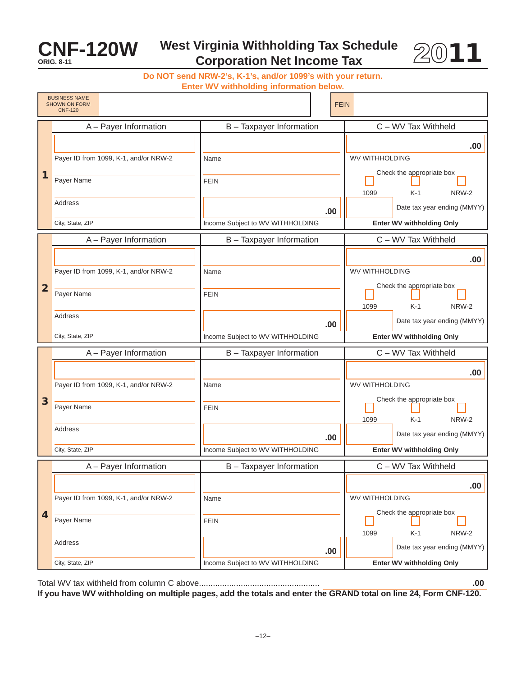

# **West Virginia Withholding Tax Schedule Corporation Net Income Tax**



## **Do NOT send NRW-2's, K-1's, and/or 1099's with your return. Enter WV withholding information below.**

|                         | <b>BUSINESS NAME</b><br><b>SHOWN ON FORM</b><br><b>CNF-120</b> |                                  | <b>FEIN</b>                                         |
|-------------------------|----------------------------------------------------------------|----------------------------------|-----------------------------------------------------|
|                         | A - Payer Information                                          | B - Taxpayer Information         | C - WV Tax Withheld                                 |
|                         |                                                                |                                  | .00                                                 |
|                         | Payer ID from 1099, K-1, and/or NRW-2                          | Name                             | WV WITHHOLDING                                      |
| 1                       | Payer Name                                                     | <b>FEIN</b>                      | Check the appropriate box<br>1099<br>$K-1$<br>NRW-2 |
|                         | <b>Address</b>                                                 | .00                              | Date tax year ending (MMYY)                         |
|                         | City, State, ZIP                                               | Income Subject to WV WITHHOLDING | Enter WV withholding Only                           |
|                         | A - Payer Information                                          | B - Taxpayer Information         | C - WV Tax Withheld                                 |
|                         |                                                                |                                  | .00.                                                |
|                         | Payer ID from 1099, K-1, and/or NRW-2                          | Name                             | WV WITHHOLDING                                      |
| $\overline{2}$          | Payer Name                                                     | <b>FEIN</b>                      | Check the appropriate box<br>1099<br>$K-1$<br>NRW-2 |
|                         | Address                                                        | .00                              | Date tax year ending (MMYY)                         |
|                         | City, State, ZIP                                               | Income Subject to WV WITHHOLDING | <b>Enter WV withholding Only</b>                    |
|                         | A - Payer Information                                          | B - Taxpayer Information         | C - WV Tax Withheld                                 |
|                         |                                                                |                                  | .00.                                                |
|                         | Payer ID from 1099, K-1, and/or NRW-2                          | Name                             | WV WITHHOLDING                                      |
| $\overline{\mathbf{3}}$ | Payer Name                                                     | <b>FEIN</b>                      | Check the appropriate box<br>1099<br>$K-1$<br>NRW-2 |
|                         | Address                                                        | .00                              | Date tax year ending (MMYY)                         |
|                         |                                                                |                                  |                                                     |
|                         | City, State, ZIP                                               | Income Subject to WV WITHHOLDING | Enter WV withholding Only                           |
|                         | A - Payer Information                                          | B - Taxpayer Information         | C - WV Tax Withheld                                 |
|                         |                                                                |                                  | .00.                                                |
|                         | Payer ID from 1099, K-1, and/or NRW-2                          | Name                             | WV WITHHOLDING                                      |
| $\overline{4}$          | Payer Name                                                     | <b>FEIN</b>                      | Check the appropriate box<br>$K-1$                  |
|                         | Address                                                        | .00.                             | 1099<br>NRW-2<br>Date tax year ending (MMYY)        |

Total WV tax withheld from column C above.................................................... **.00 if you have WV withholding on multiple pages, add the totals and enter the gRAND total on line 24, Form CNF-120.**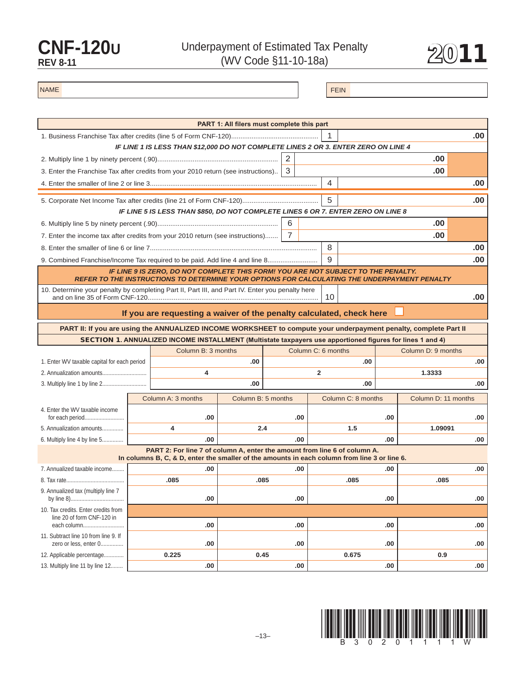# **CNF-120U**

Underpayment of Estimated Tax Penalty<br> **REV 2011** (WV Code §11-10-18a)



| <b>NAME</b> |  |  | <b>FEIN</b> |
|-------------|--|--|-------------|
|-------------|--|--|-------------|

| <b>PART 1: All filers must complete this part</b>                                                                |  |                                                                                                                                                                                   |                    |   |     |                    |                    |      |                     |     |
|------------------------------------------------------------------------------------------------------------------|--|-----------------------------------------------------------------------------------------------------------------------------------------------------------------------------------|--------------------|---|-----|--------------------|--------------------|------|---------------------|-----|
|                                                                                                                  |  |                                                                                                                                                                                   |                    |   |     | $\mathbf{1}$       |                    |      |                     | .00 |
|                                                                                                                  |  | IF LINE 1 IS LESS THAN \$12,000 DO NOT COMPLETE LINES 2 OR 3. ENTER ZERO ON LINE 4                                                                                                |                    |   |     |                    |                    |      |                     |     |
|                                                                                                                  |  |                                                                                                                                                                                   |                    | 2 |     |                    |                    |      | .00                 |     |
| 3. Enter the Franchise Tax after credits from your 2010 return (see instructions)                                |  |                                                                                                                                                                                   |                    | 3 |     |                    |                    |      | .00                 |     |
|                                                                                                                  |  |                                                                                                                                                                                   |                    |   |     | $\overline{4}$     |                    |      |                     | .00 |
|                                                                                                                  |  |                                                                                                                                                                                   |                    |   |     | 5                  |                    |      |                     | .00 |
| IF LINE 5 IS LESS THAN \$850, DO NOT COMPLETE LINES 6 OR 7. ENTER ZERO ON LINE 8                                 |  |                                                                                                                                                                                   |                    |   |     |                    |                    |      |                     |     |
|                                                                                                                  |  |                                                                                                                                                                                   |                    | 6 |     |                    |                    |      | .00                 |     |
| 7. Enter the income tax after credits from your 2010 return (see instructions)                                   |  |                                                                                                                                                                                   |                    | 7 |     |                    |                    |      | .00                 |     |
|                                                                                                                  |  |                                                                                                                                                                                   |                    |   |     | 8                  |                    |      |                     | .00 |
| 9. Combined Franchise/Income Tax required to be paid. Add line 4 and line 8                                      |  |                                                                                                                                                                                   |                    |   |     | 9                  |                    |      |                     | .00 |
|                                                                                                                  |  | IF LINE 9 IS ZERO, DO NOT COMPLETE THIS FORM! YOU ARE NOT SUBJECT TO THE PENALTY.<br>REFER TO THE INSTRUCTIONS TO DETERMINE YOUR OPTIONS FOR CALCULATING THE UNDERPAYMENT PENALTY |                    |   |     |                    |                    |      |                     |     |
| 10. Determine your penalty by completing Part II, Part III, and Part IV. Enter you penalty here                  |  |                                                                                                                                                                                   |                    |   |     | 10                 |                    |      |                     | .00 |
|                                                                                                                  |  |                                                                                                                                                                                   |                    |   |     |                    |                    |      |                     |     |
| If you are requesting a waiver of the penalty calculated, check here                                             |  |                                                                                                                                                                                   |                    |   |     |                    |                    |      |                     |     |
| PART II: If you are using the ANNUALIZED INCOME WORKSHEET to compute your underpayment penalty, complete Part II |  |                                                                                                                                                                                   |                    |   |     |                    |                    |      |                     |     |
|                                                                                                                  |  | SECTION 1. ANNUALIZED INCOME INSTALLMENT (Multistate taxpayers use apportioned figures for lines 1 and 4)<br>Column B: 3 months                                                   |                    |   |     | Column C: 6 months |                    |      | Column D: 9 months  |     |
| 1. Enter WV taxable capital for each period                                                                      |  |                                                                                                                                                                                   | .00                |   |     |                    | .00                |      |                     | .00 |
| 2. Annualization amounts                                                                                         |  | 4                                                                                                                                                                                 |                    |   |     | $\overline{2}$     |                    |      | 1.3333              |     |
|                                                                                                                  |  |                                                                                                                                                                                   | .00                |   |     |                    | .00                |      |                     | .00 |
|                                                                                                                  |  | Column A: 3 months                                                                                                                                                                | Column B: 5 months |   |     |                    | Column C: 8 months |      | Column D: 11 months |     |
| 4. Enter the WV taxable income                                                                                   |  | .00                                                                                                                                                                               |                    |   | .00 |                    |                    | .00  |                     | .00 |
| 5. Annualization amounts                                                                                         |  | 4                                                                                                                                                                                 | 2.4                |   |     |                    | 1.5                |      | 1.09091             |     |
| 6. Multiply line 4 by line 5                                                                                     |  | .00                                                                                                                                                                               |                    |   | .00 |                    |                    | .00. |                     | .00 |
|                                                                                                                  |  | PART 2: For line 7 of column A, enter the amount from line 6 of column A.<br>In columns B, C, & D, enter the smaller of the amounts in each column from line 3 or line 6.         |                    |   |     |                    |                    |      |                     |     |
| 7. Annualized taxable income                                                                                     |  | .00                                                                                                                                                                               |                    |   | .00 |                    |                    | .00  |                     | .00 |
|                                                                                                                  |  | .085                                                                                                                                                                              | .085               |   |     |                    | .085               |      | .085                |     |
| 9. Annualized tax (multiply line 7                                                                               |  | .00                                                                                                                                                                               |                    |   | .00 |                    |                    | .00  |                     | .00 |
| 10. Tax credits. Enter credits from                                                                              |  |                                                                                                                                                                                   |                    |   |     |                    |                    |      |                     |     |
| line 20 of form CNF-120 in                                                                                       |  | .00                                                                                                                                                                               |                    |   | .00 |                    |                    | .00  |                     | .00 |
| 11. Subtract line 10 from line 9. If                                                                             |  |                                                                                                                                                                                   |                    |   |     |                    |                    |      |                     |     |
| zero or less, enter 0                                                                                            |  | .00                                                                                                                                                                               |                    |   | .00 |                    |                    | .00  |                     | .00 |
| 12. Applicable percentage                                                                                        |  | 0.225                                                                                                                                                                             | 0.45               |   |     |                    | 0.675              |      | 0.9                 |     |
| 13. Multiply line 11 by line 12                                                                                  |  | .00                                                                                                                                                                               |                    |   | .00 |                    |                    | .00  |                     | .00 |

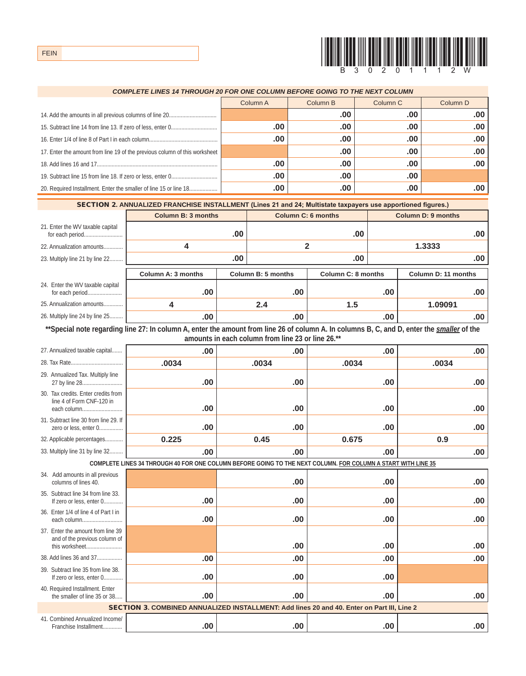

| <b>COMPLETE LINES 14 THROUGH 20 FOR ONE COLUMN BEFORE GOING TO THE NEXT COLUMN</b> |                                                                                                              |     |          |                           |                     |                           |
|------------------------------------------------------------------------------------|--------------------------------------------------------------------------------------------------------------|-----|----------|---------------------------|---------------------|---------------------------|
|                                                                                    |                                                                                                              |     | Column A | Column B                  | Column <sub>C</sub> | Column D                  |
|                                                                                    |                                                                                                              |     |          | .00                       | .00                 | .00                       |
|                                                                                    |                                                                                                              |     | .00      | .00                       | .00                 | .00                       |
|                                                                                    |                                                                                                              |     | .00      | .00                       | .00                 | .00                       |
| 17. Enter the amount from line 19 of the previous column of this worksheet         |                                                                                                              |     | .00      |                           | .00                 | .00                       |
|                                                                                    |                                                                                                              |     | .00      | .00                       | .00                 | .00                       |
|                                                                                    |                                                                                                              |     | .00      | .00                       | .00                 |                           |
|                                                                                    |                                                                                                              |     | .00      | .00                       | .00                 | .00                       |
|                                                                                    | SECTION 2. ANNUALIZED FRANCHISE INSTALLMENT (Lines 21 and 24; Multistate taxpayers use apportioned figures.) |     |          |                           |                     |                           |
|                                                                                    | <b>Column B: 3 months</b>                                                                                    |     |          | <b>Column C: 6 months</b> |                     | <b>Column D: 9 months</b> |
| 21. Enter the WV taxable capital<br>for each period                                |                                                                                                              | .00 |          |                           | .00                 | .00.                      |
| 22. Annualization amounts                                                          | 4                                                                                                            |     |          | $\mathbf 2$               |                     | 1.3333                    |
| 23. Multiply line 21 by line 22                                                    |                                                                                                              | .00 |          |                           | .00                 | .00                       |

|                                                     | Column A: 3 months | Column B: 5 months | Column C: 8 months | Column D: 11 months |
|-----------------------------------------------------|--------------------|--------------------|--------------------|---------------------|
| 24. Enter the WV taxable capital<br>for each period | .00                | .00                | .00                | .00                 |
| 25. Annualization amounts                           |                    |                    | ت. ا               | 1.09091             |
| 26. Multiply line 24 by line 25                     | .00                | .00                | .00                |                     |

**\*\*Special note regarding line 27: In column A, enter the amount from line 26 of column A. In columns B, C, and D, enter the** *smaller* **of the amounts in each column from line 23 or line 26.\*\***

| 27. Annualized taxable capital                                                       | .00                                                                                                          | .00   | .00   | .00   |
|--------------------------------------------------------------------------------------|--------------------------------------------------------------------------------------------------------------|-------|-------|-------|
|                                                                                      | .0034                                                                                                        | .0034 | .0034 | .0034 |
| 29. Annualized Tax. Multiply line<br>27 by line 28                                   | .00                                                                                                          | .00   | .00   | .00   |
| 30. Tax credits. Enter credits from<br>line 4 of Form CNF-120 in<br>each column      | .00                                                                                                          | .00   | .00   | .00   |
| 31. Subtract line 30 from line 29. If<br>zero or less, enter 0                       | .00                                                                                                          | .00   | .00   | .00   |
| 32. Applicable percentages                                                           | 0.225                                                                                                        | 0.45  | 0.675 | 0.9   |
| 33. Multiply line 31 by line 32                                                      | .00                                                                                                          | .00   | .00   | .00.  |
|                                                                                      | COMPLETE LINES 34 THROUGH 40 FOR ONE COLUMN BEFORE GOING TO THE NEXT COLUMN. FOR COLUMN A START WITH LINE 35 |       |       |       |
| 34. Add amounts in all previous<br>columns of lines 40.                              |                                                                                                              | .00   | .00   | .00   |
| 35. Subtract line 34 from line 33.<br>If zero or less, enter 0                       | .00                                                                                                          | .00   | .00   | .00   |
| 36. Enter 1/4 of line 4 of Part I in                                                 | .00                                                                                                          | .00   | .00   | .00   |
| 37. Enter the amount from line 39<br>and of the previous column of<br>this worksheet |                                                                                                              | .00   | .00   | .00   |
| 38. Add lines 36 and 37                                                              | .00                                                                                                          | .00   | .00   | .00   |
| 39. Subtract line 35 from line 38.<br>If zero or less, enter 0                       | .00                                                                                                          | .00   | .00   |       |
| 40. Required Installment. Enter<br>the smaller of line 35 or 38                      | .00                                                                                                          | .00   | .00   | .00   |
|                                                                                      | SECTION 3. COMBINED ANNUALIZED INSTALLMENT: Add lines 20 and 40. Enter on Part III, Line 2                   |       |       |       |
| 41. Combined Annualized Income/<br>Franchise Installment                             | .00                                                                                                          | .00   | .00   | .00   |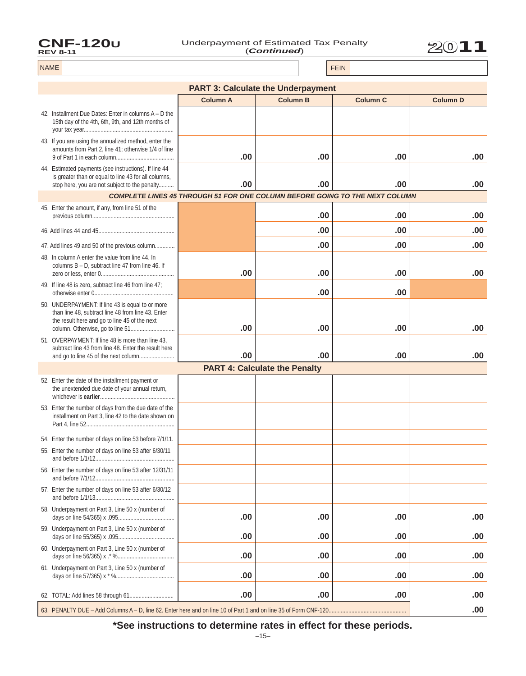# **CNF-120U**

CNF-120U Underpayment of Estimated Tax Penalty<br>REV 8-11 (*Continued*) (*Continued*)



NAME FEIN AND RESERVE THE SERVE THAT IS NOT THE SERVE THAT IS NOT THE SERVE THAT IS NOT THE SERVE THAT IS NOT

|                                                                                                                                                                |                 | <b>PART 3: Calculate the Underpayment</b>                                          |                 |                 |
|----------------------------------------------------------------------------------------------------------------------------------------------------------------|-----------------|------------------------------------------------------------------------------------|-----------------|-----------------|
|                                                                                                                                                                | <b>Column A</b> | <b>Column B</b>                                                                    | <b>Column C</b> | <b>Column D</b> |
| 42. Installment Due Dates: Enter in columns A – D the<br>15th day of the 4th, 6th, 9th, and 12th months of                                                     |                 |                                                                                    |                 |                 |
| 43. If you are using the annualized method, enter the<br>amounts from Part 2, line 41; otherwise 1/4 of line                                                   | .00             | .00                                                                                | .00             | .00             |
| 44. Estimated payments (see instructions). If line 44<br>is greater than or equal to line 43 for all columns,<br>stop here, you are not subject to the penalty | .00             | .00                                                                                | .00             | .00             |
|                                                                                                                                                                |                 | <b>COMPLETE LINES 45 THROUGH 51 FOR ONE COLUMN BEFORE GOING TO THE NEXT COLUMN</b> |                 |                 |
| 45. Enter the amount, if any, from line 51 of the                                                                                                              |                 | .00                                                                                | .00             | .00             |
|                                                                                                                                                                |                 | .00                                                                                | .00             | .00             |
| 47. Add lines 49 and 50 of the previous column                                                                                                                 |                 | .00                                                                                | .00             | .00             |
| 48. In column A enter the value from line 44. In<br>columns B - D, subtract line 47 from line 46. If                                                           | .00             | .00                                                                                | .00             | .00             |
| 49. If line 48 is zero, subtract line 46 from line 47;                                                                                                         |                 | .00                                                                                | .00             |                 |
| 50. UNDERPAYMENT: If line 43 is equal to or more<br>than line 48, subtract line 48 from line 43. Enter<br>the result here and go to line 45 of the next        | .00             | .00                                                                                | .00             | .00             |
| 51. OVERPAYMENT: If line 48 is more than line 43,<br>subtract line 43 from line 48. Enter the result here                                                      | .00             | .00                                                                                | .00             | .00             |
|                                                                                                                                                                |                 | <b>PART 4: Calculate the Penalty</b>                                               |                 |                 |
| 52. Enter the date of the installment payment or<br>the unextended due date of your annual return,                                                             |                 |                                                                                    |                 |                 |
| 53. Enter the number of days from the due date of the<br>installment on Part 3, line 42 to the date shown on                                                   |                 |                                                                                    |                 |                 |
| 54. Enter the number of days on line 53 before 7/1/11.                                                                                                         |                 |                                                                                    |                 |                 |
| 55. Enter the number of days on line 53 after 6/30/11                                                                                                          |                 |                                                                                    |                 |                 |
| 56. Enter the number of days on line 53 after 12/31/11                                                                                                         |                 |                                                                                    |                 |                 |
| 57. Enter the number of days on line 53 after 6/30/12                                                                                                          |                 |                                                                                    |                 |                 |
| 58. Underpayment on Part 3, Line 50 x (number of                                                                                                               | .00             | .00                                                                                | .00             | .00             |
| 59. Underpayment on Part 3, Line 50 x (number of                                                                                                               | .00             | .00                                                                                | .00             | .00             |
| 60. Underpayment on Part 3, Line 50 x (number of                                                                                                               | .00             | .00                                                                                | .00             | .00             |
| 61. Underpayment on Part 3, Line 50 x (number of                                                                                                               | .00             | .00                                                                                | .00             | .00             |
|                                                                                                                                                                | .00             | .00                                                                                | .00             | .00             |
|                                                                                                                                                                |                 |                                                                                    |                 | .00.            |

**\*See instructions to determine rates in effect for these periods.**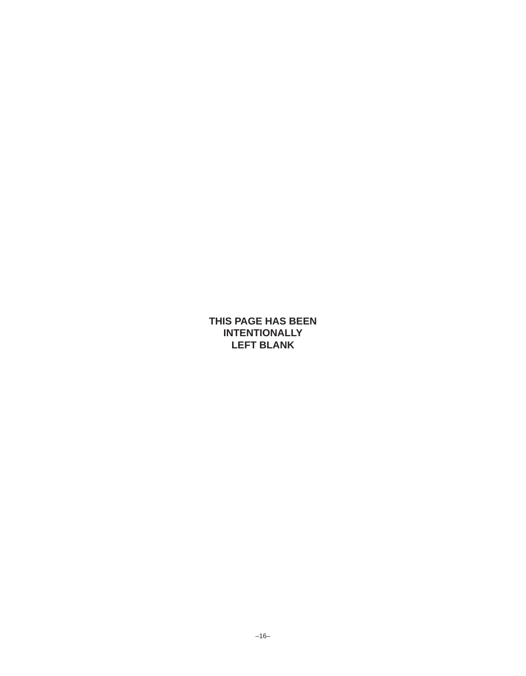# THIS PAGE HAS BEEN **INTENTIONALLY LEFT BLANK**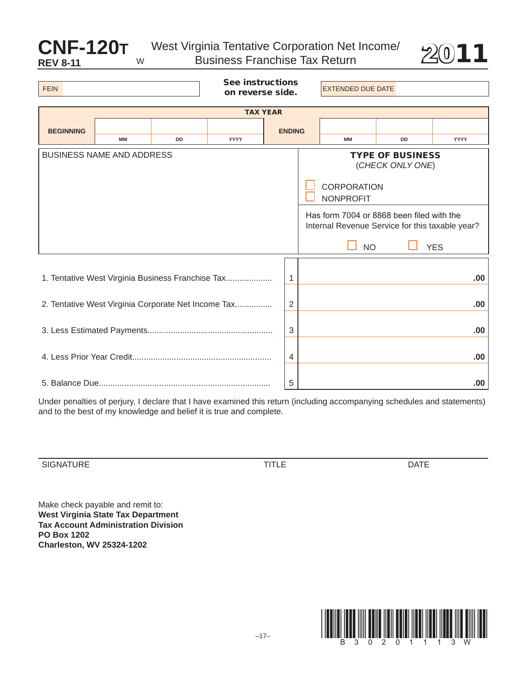**CNF-120T** West Virginia Tentative Corporation Net Income/ **Business Franchise Tax Return** 



| <b>FEIN</b>                                                                                                             | <b>See instructions</b><br>on reverse side. |    |                 |                                        | <b>EXTENDED DUE DATE</b>                    |           |           |      |
|-------------------------------------------------------------------------------------------------------------------------|---------------------------------------------|----|-----------------|----------------------------------------|---------------------------------------------|-----------|-----------|------|
|                                                                                                                         |                                             |    | <b>TAX YEAR</b> |                                        |                                             |           |           |      |
| <b>BEGINNING</b>                                                                                                        |                                             |    |                 | <b>ENDING</b>                          |                                             |           |           |      |
|                                                                                                                         | <b>MM</b>                                   | DD | <b>YYYY</b>     |                                        |                                             | <b>MM</b> | <b>DD</b> | YYYY |
| <b>BUSINESS NAME AND ADDRESS</b>                                                                                        |                                             |    |                 | <b>CORPORATION</b><br><b>NONPROFIT</b> | <b>TYPE OF BUSINESS</b><br>(CHECK ONLY ONE) |           |           |      |
| Has form 7004 or 8868 been filed with the<br>Internal Revenue Service for this taxable year?<br><b>NO</b><br><b>YES</b> |                                             |    |                 |                                        |                                             |           |           |      |
| 1. Tentative West Virginia Business Franchise Tax<br>1                                                                  |                                             |    |                 |                                        |                                             |           | .00       |      |
| $\overline{2}$<br>2. Tentative West Virginia Corporate Net Income Tax                                                   |                                             |    |                 |                                        |                                             |           | .00       |      |
| 3                                                                                                                       |                                             |    |                 |                                        |                                             |           | .00       |      |
|                                                                                                                         |                                             |    | 4               |                                        |                                             |           | .00       |      |
|                                                                                                                         |                                             |    |                 | 5                                      |                                             |           |           | .00  |

Under penalties of perjury, I declare that I have examined this return (including accompanying schedules and statements) and to the best of my knowledge and belief it is true and complete.

**SIGNATURE** 

**TITLE** 

**DATE** 

Make check payable and remit to: **West Virginia State Tax Department Tax Account Administration Division PO Box 1202 Charleston, WV 25324-1202** 

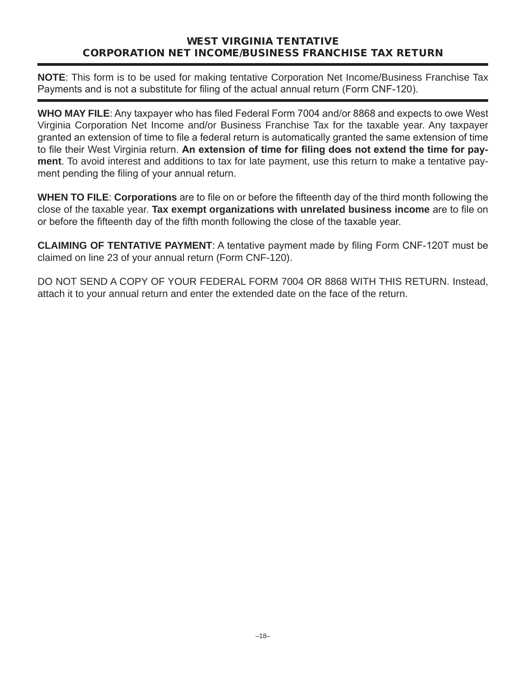# **WEST VIRGINIA TENTATIVE CORPORATION NET INCOME/BUSINESS FRANCHISE TAX RETURN**

NOTE: This form is to be used for making tentative Corporation Net Income/Business Franchise Tax Payments and is not a substitute for filing of the actual annual return (Form CNF-120).

WHO MAY FILE: Any taxpayer who has filed Federal Form 7004 and/or 8868 and expects to owe West Virginia Corporation Net Income and/or Business Franchise Tax for the taxable year. Any taxpayer granted an extension of time to file a federal return is automatically granted the same extension of time to file their West Virginia return. An extension of time for filing does not extend the time for payment. To avoid interest and additions to tax for late payment, use this return to make a tentative payment pending the filing of your annual return.

WHEN TO FILE: Corporations are to file on or before the fifteenth day of the third month following the close of the taxable year. Tax exempt organizations with unrelated business income are to file on or before the fifteenth day of the fifth month following the close of the taxable year.

**CLAIMING OF TENTATIVE PAYMENT:** A tentative payment made by filing Form CNF-120T must be claimed on line 23 of your annual return (Form CNF-120).

DO NOT SEND A COPY OF YOUR FEDERAL FORM 7004 OR 8868 WITH THIS RETURN. Instead, attach it to your annual return and enter the extended date on the face of the return.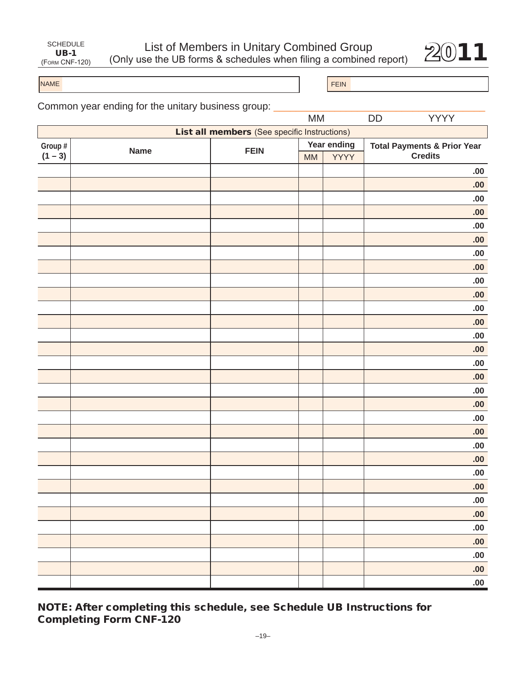| SCHEDULE                      | List of Members in Unitary Combined Group                         |
|-------------------------------|-------------------------------------------------------------------|
| <b>UB-1</b><br>(FORM CNF-120) | (Only use the UB forms & schedules when filing a combined report) |
|                               |                                                                   |

 $2011$ 

#### NAME FEIN AND RESERVE THE SERVE THAT IS NOT THE SERVE THAT IS NOT THE SERVE THAT IS NOT THE SERVE THAT IS NOT THE SERVE THAT IS NOT THE SERVE THAT IS NOT THE SERVE THAT IS NOT THE SERVE THAT IS NOT THE SERVE THAT IS NOT TH

# Common year ending for the unitary business group:

|            |                                              |             | МM          |             | DD<br>YYYY                             |  |  |  |
|------------|----------------------------------------------|-------------|-------------|-------------|----------------------------------------|--|--|--|
|            | List all members (See specific Instructions) |             |             |             |                                        |  |  |  |
| Group $\#$ |                                              |             | Year ending |             | <b>Total Payments &amp; Prior Year</b> |  |  |  |
| $(1 - 3)$  | <b>Name</b>                                  | <b>FEIN</b> | <b>MM</b>   | <b>YYYY</b> | <b>Credits</b>                         |  |  |  |
|            |                                              |             |             |             | .00.                                   |  |  |  |
|            |                                              |             |             |             | .00                                    |  |  |  |
|            |                                              |             |             |             | .00.                                   |  |  |  |
|            |                                              |             |             |             | .00                                    |  |  |  |
|            |                                              |             |             |             | .00.                                   |  |  |  |
|            |                                              |             |             |             | .00                                    |  |  |  |
|            |                                              |             |             |             | .00.                                   |  |  |  |
|            |                                              |             |             |             | .00                                    |  |  |  |
|            |                                              |             |             |             | .00.                                   |  |  |  |
|            |                                              |             |             |             | .00                                    |  |  |  |
|            |                                              |             |             |             | .00                                    |  |  |  |
|            |                                              |             |             |             | .00                                    |  |  |  |
|            |                                              |             |             |             | .00.                                   |  |  |  |
|            |                                              |             |             |             | .00                                    |  |  |  |
|            |                                              |             |             |             | .00                                    |  |  |  |
|            |                                              |             |             |             | .00                                    |  |  |  |
|            |                                              |             |             |             | .00                                    |  |  |  |
|            |                                              |             |             |             | .00                                    |  |  |  |
|            |                                              |             |             |             | .00                                    |  |  |  |
|            |                                              |             |             |             | .00                                    |  |  |  |
|            |                                              |             |             |             | .00.                                   |  |  |  |
|            |                                              |             |             |             | .00                                    |  |  |  |
|            |                                              |             |             |             | .00.                                   |  |  |  |
|            |                                              |             |             |             | .00                                    |  |  |  |
|            |                                              |             |             |             | .00.                                   |  |  |  |
|            |                                              |             |             |             | .00                                    |  |  |  |
|            |                                              |             |             |             | .00                                    |  |  |  |
|            |                                              |             |             |             | .00                                    |  |  |  |
|            |                                              |             |             |             | .00.                                   |  |  |  |
|            |                                              |             |             |             | .00                                    |  |  |  |
|            |                                              |             |             |             |                                        |  |  |  |
|            |                                              |             |             |             | .00                                    |  |  |  |

NOTE: After completing this schedule, see Schedule UB Instructions for Completing Form CNF-120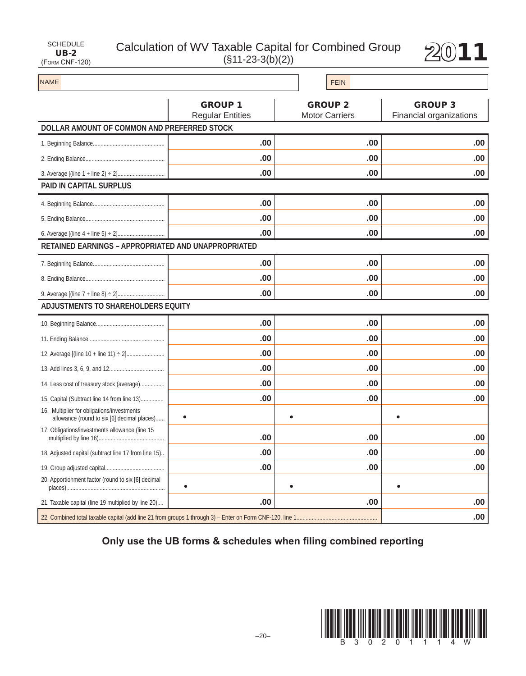| SCHEDULE       |  |  |  |  |
|----------------|--|--|--|--|
| <b>UB-2</b>    |  |  |  |  |
| (FORM CNF-120) |  |  |  |  |

# Calculation of WV Taxable Capital for Combined Group<br>
(§11-23-3(b)(2))

٦

Г



| NAME                                                                                      |                                           | <b>FEIN</b>                             |                                           |  |
|-------------------------------------------------------------------------------------------|-------------------------------------------|-----------------------------------------|-------------------------------------------|--|
|                                                                                           | <b>GROUP 1</b><br><b>Regular Entities</b> | <b>GROUP 2</b><br><b>Motor Carriers</b> | <b>GROUP 3</b><br>Financial organizations |  |
| DOLLAR AMOUNT OF COMMON AND PREFERRED STOCK                                               |                                           |                                         |                                           |  |
|                                                                                           | .00                                       | .00                                     | .00                                       |  |
|                                                                                           | .00                                       | .00                                     | .00                                       |  |
|                                                                                           | .00                                       | .00                                     | .00                                       |  |
| PAID IN CAPITAL SURPLUS                                                                   |                                           |                                         |                                           |  |
|                                                                                           | .00                                       | .00                                     | .00                                       |  |
|                                                                                           | .00                                       | .00                                     | .00                                       |  |
|                                                                                           | .00                                       | .00                                     | .00                                       |  |
| RETAINED EARNINGS - APPROPRIATED AND UNAPPROPRIATED                                       |                                           |                                         |                                           |  |
|                                                                                           | .00                                       | .00                                     | .00                                       |  |
|                                                                                           | .00                                       | .00                                     | .00                                       |  |
|                                                                                           | .00                                       | .00                                     | .00                                       |  |
| ADJUSTMENTS TO SHAREHOLDERS EQUITY                                                        |                                           |                                         |                                           |  |
|                                                                                           | .00                                       | .00                                     | .00                                       |  |
|                                                                                           | .00                                       | .00                                     | .00                                       |  |
|                                                                                           | .00                                       | .00                                     | .00                                       |  |
|                                                                                           | .00                                       | .00                                     | .00                                       |  |
| 14. Less cost of treasury stock (average)                                                 | .00                                       | .00                                     | .00                                       |  |
| 15. Capital (Subtract line 14 from line 13)                                               | .00                                       | .00                                     | .00                                       |  |
| 16. Multiplier for obligations/investments<br>allowance (round to six [6] decimal places) | $\bullet$                                 |                                         |                                           |  |
| 17. Obligations/investments allowance (line 15                                            | .00                                       | .00                                     | .00                                       |  |
| 18. Adjusted capital (subtract line 17 from line 15)                                      | .00                                       | .00                                     | .00                                       |  |
|                                                                                           | .00                                       | .00                                     | .00                                       |  |
| 20. Apportionment factor (round to six [6] decimal                                        |                                           |                                         |                                           |  |
| 21. Taxable capital (line 19 multiplied by line 20)                                       | .00                                       | .00                                     | .00                                       |  |
|                                                                                           |                                           |                                         | .00                                       |  |

# Only use the UB forms & schedules when filing combined reporting

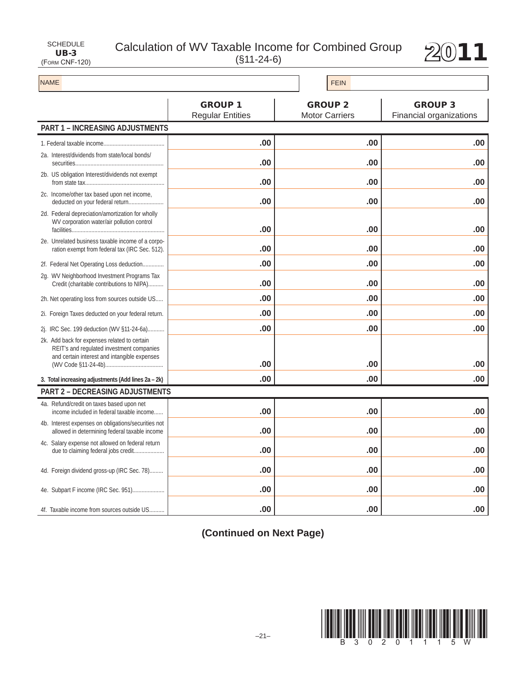UB-3 (Form CNF-120)

# SCHEDULE Calculation of WV Taxable Income for Combined Group  $2011$



| <b>NAME</b>                                                                                                                               |                                           | <b>FEIN</b>                             |                                           |
|-------------------------------------------------------------------------------------------------------------------------------------------|-------------------------------------------|-----------------------------------------|-------------------------------------------|
|                                                                                                                                           | <b>GROUP 1</b><br><b>Regular Entities</b> | <b>GROUP 2</b><br><b>Motor Carriers</b> | <b>GROUP 3</b><br>Financial organizations |
| <b>PART 1 - INCREASING ADJUSTMENTS</b>                                                                                                    |                                           |                                         |                                           |
|                                                                                                                                           | .00                                       | .00                                     | .00                                       |
| 2a. Interest/dividends from state/local bonds/                                                                                            | .00                                       | .00                                     | .00                                       |
| 2b. US obligation Interest/dividends not exempt                                                                                           | .00                                       | .00                                     | .00                                       |
| 2c. Income/other tax based upon net income,<br>deducted on your federal return                                                            | .00                                       | .00                                     | .00                                       |
| 2d. Federal depreciation/amortization for wholly<br>WV corporation water/air pollution control                                            | .00                                       | .00                                     | .00                                       |
| 2e. Unrelated business taxable income of a corpo-<br>ration exempt from federal tax (IRC Sec. 512).                                       | .00                                       | .00                                     | .00                                       |
| 2f. Federal Net Operating Loss deduction                                                                                                  | .00                                       | .00                                     | .00                                       |
| 2g. WV Neighborhood Investment Programs Tax<br>Credit (charitable contributions to NIPA)                                                  | .00                                       | .00                                     | .00                                       |
| 2h. Net operating loss from sources outside US                                                                                            | .00                                       | .00                                     | .00                                       |
| 2i. Foreign Taxes deducted on your federal return.                                                                                        | .00                                       | .00                                     | .00                                       |
| 2j. IRC Sec. 199 deduction (WV §11-24-6a)                                                                                                 | .00                                       | .00                                     | .00                                       |
| 2k. Add back for expenses related to certain<br>REIT's and regulated investment companies<br>and certain interest and intangible expenses | .00                                       | .00                                     | .00                                       |
| 3. Total increasing adjustments (Add lines 2a - 2k)                                                                                       | .00                                       | .00                                     | .00                                       |
| <b>PART 2 - DECREASING ADJUSTMENTS</b>                                                                                                    |                                           |                                         |                                           |
| 4a. Refund/credit on taxes based upon net<br>income included in federal taxable income                                                    | .00                                       | .00                                     | .00                                       |
| 4b. Interest expenses on obligations/securities not<br>allowed in determining federal taxable income                                      | .00                                       | .00                                     | .00                                       |
| 4c. Salary expense not allowed on federal return<br>due to claiming federal jobs credit                                                   | .00                                       | .00                                     | .00                                       |
| 4d. Foreign dividend gross-up (IRC Sec. 78)                                                                                               | .00                                       | .00                                     | .00                                       |
| 4e. Subpart F income (IRC Sec. 951)                                                                                                       | .00                                       | .00                                     | .00                                       |
| 4f. Taxable income from sources outside US                                                                                                | .00                                       | .00                                     | .00                                       |

**(Continued on Next Page)**

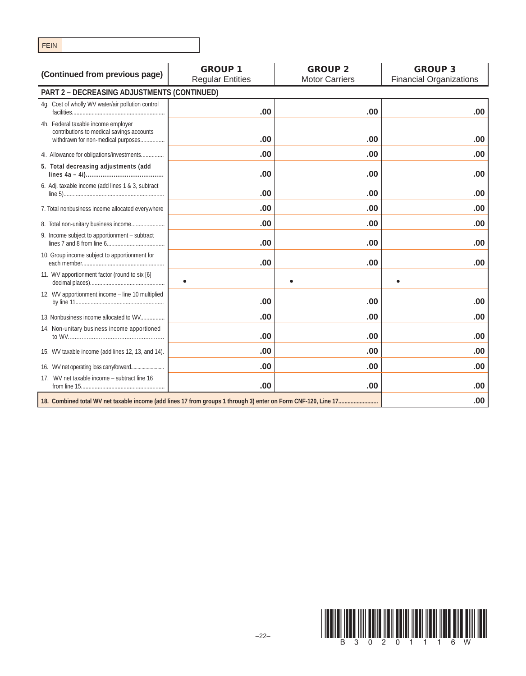FEIN

| (Continued from previous page)                                                                                         | <b>GROUP 1</b><br><b>Regular Entities</b> | <b>GROUP 2</b><br><b>Motor Carriers</b> | <b>GROUP 3</b><br><b>Financial Organizations</b> |
|------------------------------------------------------------------------------------------------------------------------|-------------------------------------------|-----------------------------------------|--------------------------------------------------|
| PART 2 - DECREASING ADJUSTMENTS (CONTINUED)                                                                            |                                           |                                         |                                                  |
| 4g. Cost of wholly WV water/air pollution control                                                                      | .00                                       | .00                                     | .00                                              |
| 4h. Federal taxable income employer<br>contributions to medical savings accounts<br>withdrawn for non-medical purposes | .00                                       | .00                                     | .00                                              |
| 4i. Allowance for obligations/investments                                                                              | .00                                       | .00                                     | .00                                              |
| 5. Total decreasing adjustments (add                                                                                   | .00                                       | .00                                     | .00                                              |
| 6. Adj. taxable income (add lines 1 & 3, subtract                                                                      | .00                                       | .00                                     | .00                                              |
| 7. Total nonbusiness income allocated everywhere                                                                       | .00                                       | .00                                     | .00                                              |
| 8. Total non-unitary business income                                                                                   | .00                                       | .00                                     | .00                                              |
| 9. Income subject to apportionment - subtract                                                                          | .00                                       | .00                                     | .00                                              |
| 10. Group income subject to apportionment for                                                                          | .00                                       | .00                                     | .00                                              |
| 11. WV apportionment factor (round to six [6]                                                                          |                                           |                                         |                                                  |
| 12. WV apportionment income - line 10 multiplied                                                                       | .00                                       | .00                                     | .00                                              |
| 13. Nonbusiness income allocated to WV                                                                                 | .00                                       | .00                                     | .00                                              |
| 14. Non-unitary business income apportioned                                                                            | .00                                       | .00                                     | .00                                              |
| 15. WV taxable income (add lines 12, 13, and 14).                                                                      | .00                                       | .00                                     | .00                                              |
| 16. WV net operating loss carryforward                                                                                 | .00                                       | .00                                     | .00                                              |
| 17. WV net taxable income - subtract line 16                                                                           | .00                                       | .00                                     | .00                                              |
|                                                                                                                        |                                           |                                         | .00                                              |

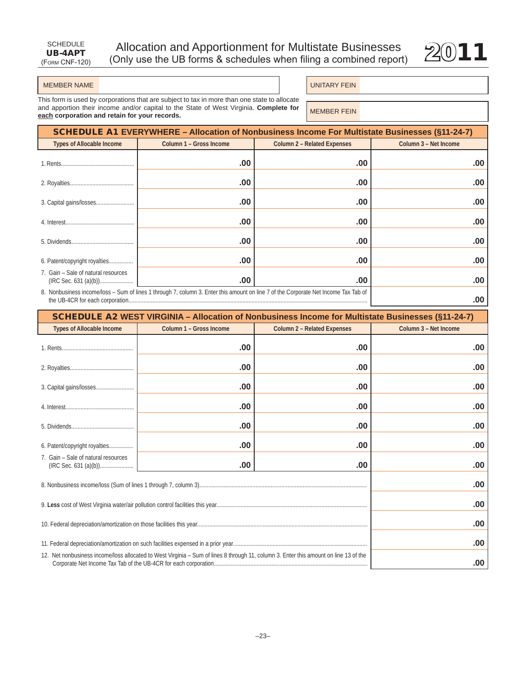

#### MEMBER NAME

**UNITARY FEIN** 

This form is used by corporations that are subject to tax in more than one state to allocate and apportion their income and/or capital to the State of West Virginia. Complete for each corporation and retain for your records.

MEMBER FEIN

| (§11-24-7) SCHEDULE A1 EVERYWHERE – Allocation of Nonbusiness Income For Multistate Businesses                                      |                         |                                    |                       |  |  |  |  |
|-------------------------------------------------------------------------------------------------------------------------------------|-------------------------|------------------------------------|-----------------------|--|--|--|--|
| <b>Types of Allocable Income</b>                                                                                                    | Column 1 - Gross Income | <b>Column 2 - Related Expenses</b> | Column 3 - Net Income |  |  |  |  |
|                                                                                                                                     | .00                     | .00                                | .00.                  |  |  |  |  |
|                                                                                                                                     | .00                     | .00                                | .00.                  |  |  |  |  |
|                                                                                                                                     | .00                     | .00                                | .00                   |  |  |  |  |
|                                                                                                                                     | .00                     | .00                                | .00.                  |  |  |  |  |
|                                                                                                                                     | .00                     | .00                                | .00.                  |  |  |  |  |
| 6. Patent/copyright royalties                                                                                                       | .00                     | .00                                | .00.                  |  |  |  |  |
| 7. Gain – Sale of natural resources                                                                                                 | .00                     | .00                                | .00                   |  |  |  |  |
| 8. Nonbusiness income/loss - Sum of lines 1 through 7, column 3. Enter this amount on line 7 of the Corporate Net Income Tax Tab of | .00                     |                                    |                       |  |  |  |  |

| SCHEDULE A2 WEST VIRGINIA - Allocation of Nonbusiness Income for Multistate Businesses (§11-24-7)                                     |                         |                                    |                       |  |
|---------------------------------------------------------------------------------------------------------------------------------------|-------------------------|------------------------------------|-----------------------|--|
| <b>Types of Allocable Income</b>                                                                                                      | Column 1 - Gross Income | <b>Column 2 - Related Expenses</b> | Column 3 - Net Income |  |
|                                                                                                                                       | .00                     | .00                                | .00                   |  |
|                                                                                                                                       | .00                     | .00                                | .00                   |  |
|                                                                                                                                       | .00                     | .00                                | .00                   |  |
|                                                                                                                                       | .00                     | .00                                | .00                   |  |
|                                                                                                                                       | .00                     | .00                                | .00                   |  |
| 6. Patent/copyright royalties                                                                                                         | .00                     | .00                                | .00                   |  |
| 7. Gain – Sale of natural resources                                                                                                   | .00                     | .00                                | .00                   |  |
|                                                                                                                                       | .00                     |                                    |                       |  |
|                                                                                                                                       |                         |                                    | .00                   |  |
|                                                                                                                                       |                         |                                    | .00                   |  |
|                                                                                                                                       |                         |                                    | .00                   |  |
| 12. Net nonbusiness income/loss allocated to West Virginia - Sum of lines 8 through 11, column 3. Enter this amount on line 13 of the |                         |                                    | .00.                  |  |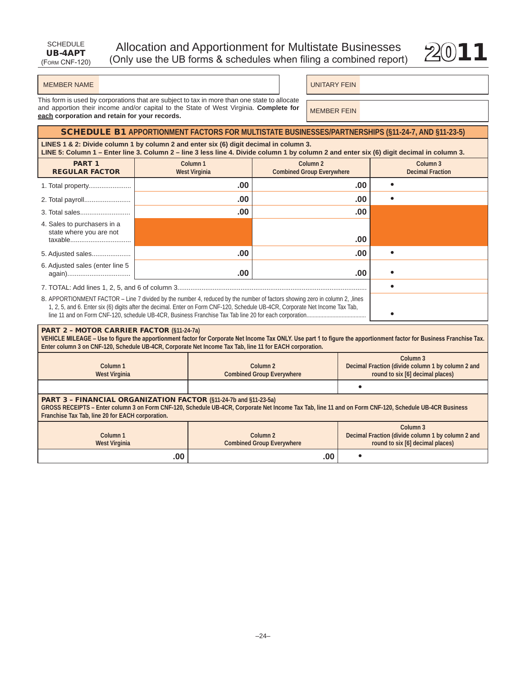

#### MEMBER NAME UNITARY FEIN

This form is used by corporations that are subject to tax in more than one state to allocate and apportion their income and/or capital to the State of West Virginia. **Complete for each corporation and retain for your records.**

MEMBER FEIN

### SCHedULe B1 **APPORTIOnmEnT fACTORS fOR mUlTISTATE BUSInESSES/PARTnERShIPS (§11-24-7, AnD §11-23-5)**

**LiNES 1 & 2: Divide column 1 by column 2 and enter six (6) digit decimal in column 3. LiNE 5: Column 1 – Enter line 3. Column 2 – line 3 less line 4. Divide column 1 by column 2 and enter six (6) digit decimal in column 3.**

| בחים עד שטעוווווי בחושר וווע ט. סטועוווור ב - ווווע ט וטטט ווווע ד. בחיושט סטועוווור ב אין שטעוווור ב שווע טווער טוא                                                                                                                                        |                                             |                                                         |                                     |  |  |
|-------------------------------------------------------------------------------------------------------------------------------------------------------------------------------------------------------------------------------------------------------------|---------------------------------------------|---------------------------------------------------------|-------------------------------------|--|--|
| <b>PART 1</b><br><b>REGULAR FACTOR</b>                                                                                                                                                                                                                      | Column <sub>1</sub><br><b>West Virginia</b> | Column <sub>2</sub><br><b>Combined Group Everywhere</b> | Column 3<br><b>Decimal Fraction</b> |  |  |
| 1. Total property                                                                                                                                                                                                                                           | .00                                         | .00                                                     |                                     |  |  |
|                                                                                                                                                                                                                                                             | .00.                                        | .00                                                     |                                     |  |  |
|                                                                                                                                                                                                                                                             | .00                                         | .00                                                     |                                     |  |  |
| 4. Sales to purchasers in a<br>state where you are not<br>taxable                                                                                                                                                                                           |                                             | .00                                                     |                                     |  |  |
| 5. Adjusted sales                                                                                                                                                                                                                                           | .00                                         | .00                                                     |                                     |  |  |
| 6. Adjusted sales (enter line 5                                                                                                                                                                                                                             | .00                                         | .00                                                     |                                     |  |  |
|                                                                                                                                                                                                                                                             |                                             |                                                         |                                     |  |  |
| 8. APPORTIONMENT FACTOR – Line 7 divided by the number 4, reduced by the number of factors showing zero in column 2, lines<br>1, 2, 5, and 6. Enter six (6) digits after the decimal. Enter on Form CNF-120, Schedule UB-4CR, Corporate Net Income Tax Tab, |                                             |                                                         |                                     |  |  |

#### Part 2 – MOtOr CarrIer FaCtOr **(§11-24-7a)**

**VEHICLE MILEAGE – Use to figure the apportionment factor for Corporate Net Income Tax ONLY. Use part 1 to figure the apportionment factor for Business Franchise Tax.**  Enter column 3 on CNF-120, Schedule UB-4CR, Corporate Net Income Tax Tab, line 11 for EACH corporation.

|               |                                  | Column 3                                          |
|---------------|----------------------------------|---------------------------------------------------|
| Column 1      | Column 2                         | Decimal Fraction (divide column 1 by column 2 and |
| West Virginia | <b>Combined Group Everywhere</b> | round to six [6] decimal places)                  |
|               |                                  |                                                   |

#### Part 3 – FINaNCIaL OrGaNIZatION FaCtOr **(§11-24-7b and §11-23-5a)**

**GROSS RECEIPTS – Enter column 3 on form Cnf-120, Schedule UB-4CR, Corporate net Income Tax Tab, line 11 and on form Cnf-120, Schedule UB-4CR Business franchise Tax Tab, line 20 for EACh corporation.**

| Column 1<br>West Virginia | Column 2<br><b>Combined Group Everywhere</b> | Column 3<br>Decimal Fraction (divide column 1 by column 2 and<br>round to six [6] decimal places) |
|---------------------------|----------------------------------------------|---------------------------------------------------------------------------------------------------|
| .00                       | .00                                          |                                                                                                   |